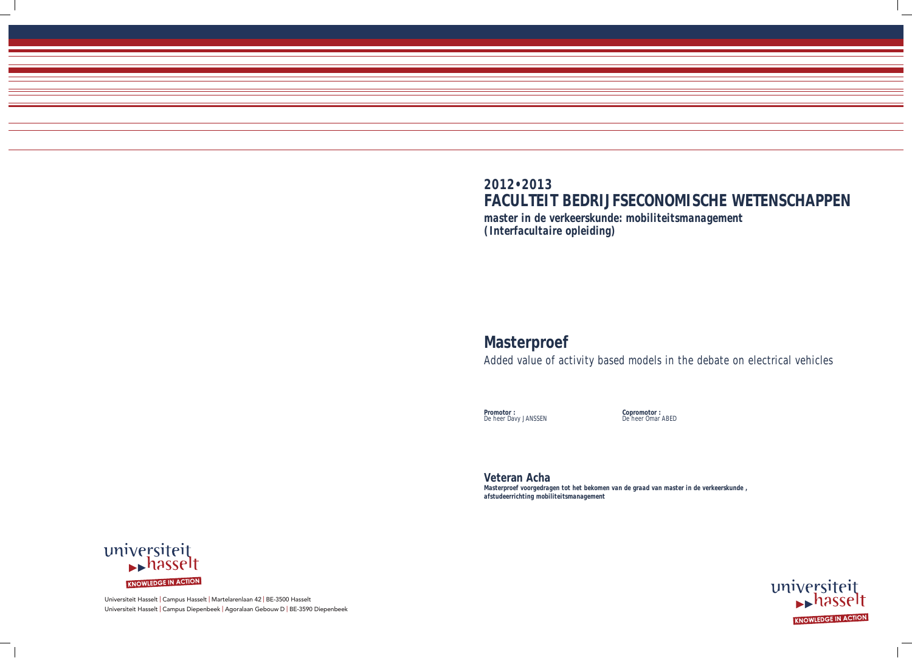Universiteit Hasselt | Campus Hasselt | Martelarenlaan 42 | BE-3500 Hasselt Universiteit Hasselt | Campus Diepenbeek | Agoralaan Gebouw D | BE-3590 Diepenbeek

# **2012•2013**

# **FACULTEIT BEDRIJFSECONOMISCHE WETENSCHAPPEN** *master in de verkeerskunde: mobiliteitsmanagement*

*(Interfacultaire opleiding)*

# **Masterproef**

Added value of activity based models in the debate on electrical vehicles

**Promotor :** De heer Davy JANSSEN **Copromotor :** De heer Omar ABED



**Veteran Acha**  *Masterproef voorgedragen tot het bekomen van de graad van master in de verkeerskunde , afstudeerrichting mobiliteitsmanagement*

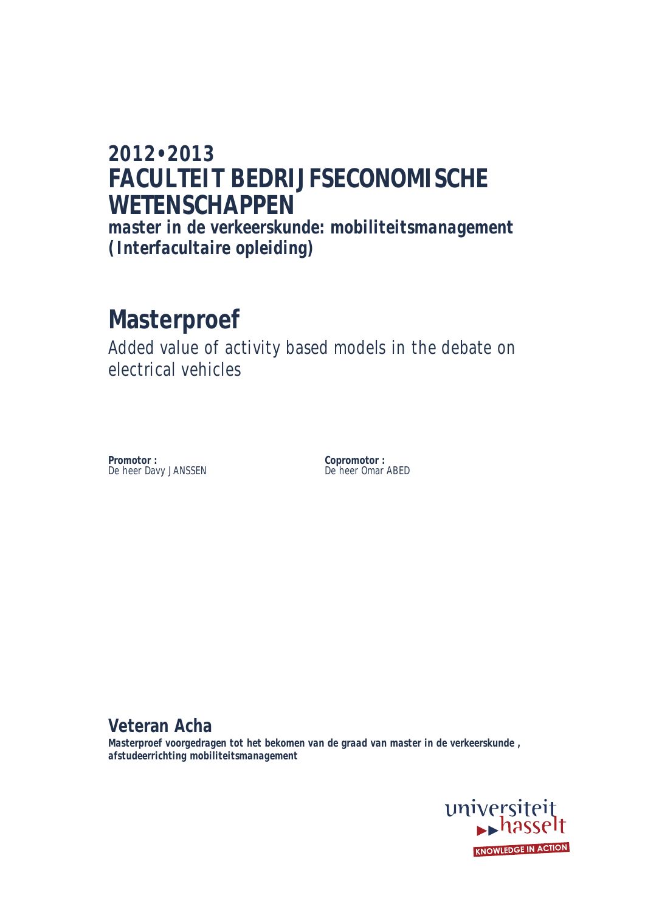## **2012•2013 FACULTEIT BEDRIJFSECONOMISCHE WETENSCHAPPEN**

*master in de verkeerskunde: mobiliteitsmanagement (Interfacultaire opleiding)*

# **Masterproef**

Added value of activity based models in the debate on electrical vehicles

**Promotor : Copromotor :** De heer Davy JANSSEN De heer Omar ABED

**Veteran Acha** 

*Masterproef voorgedragen tot het bekomen van de graad van master in de verkeerskunde , afstudeerrichting mobiliteitsmanagement*

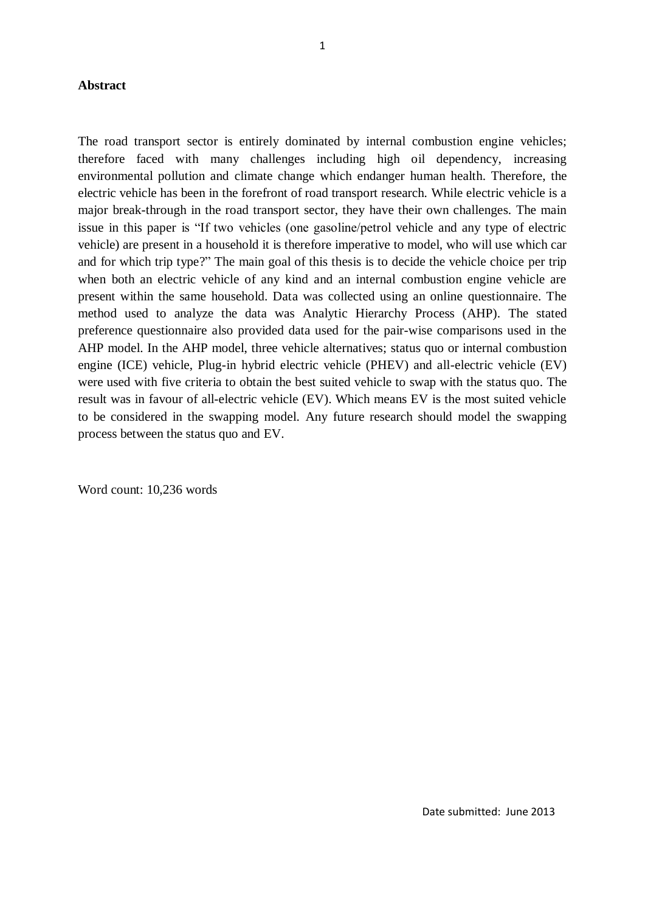#### **Abstract**

The road transport sector is entirely dominated by internal combustion engine vehicles; therefore faced with many challenges including high oil dependency, increasing environmental pollution and climate change which endanger human health. Therefore, the electric vehicle has been in the forefront of road transport research. While electric vehicle is a major break-through in the road transport sector, they have their own challenges. The main issue in this paper is "If two vehicles (one gasoline/petrol vehicle and any type of electric vehicle) are present in a household it is therefore imperative to model, who will use which car and for which trip type?" The main goal of this thesis is to decide the vehicle choice per trip when both an electric vehicle of any kind and an internal combustion engine vehicle are present within the same household. Data was collected using an online questionnaire. The method used to analyze the data was Analytic Hierarchy Process (AHP). The stated preference questionnaire also provided data used for the pair-wise comparisons used in the AHP model. In the AHP model, three vehicle alternatives; status quo or internal combustion engine (ICE) vehicle, Plug-in hybrid electric vehicle (PHEV) and all-electric vehicle (EV) were used with five criteria to obtain the best suited vehicle to swap with the status quo. The result was in favour of all-electric vehicle (EV). Which means EV is the most suited vehicle to be considered in the swapping model. Any future research should model the swapping process between the status quo and EV.

Word count: 10,236 words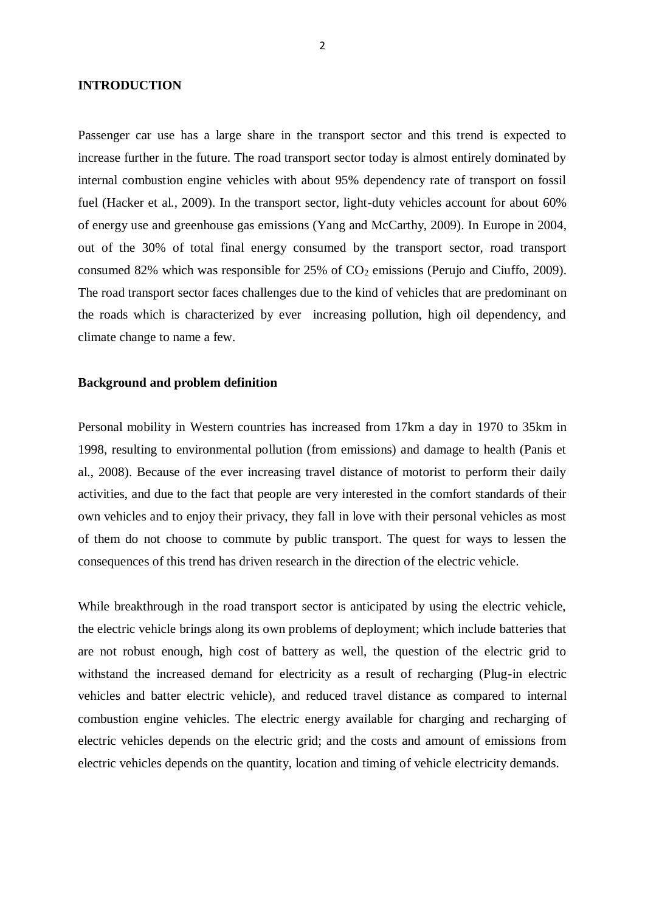#### **INTRODUCTION**

Passenger car use has a large share in the transport sector and this trend is expected to increase further in the future. The road transport sector today is almost entirely dominated by internal combustion engine vehicles with about 95% dependency rate of transport on fossil fuel (Hacker et al., 2009). In the transport sector, light-duty vehicles account for about 60% of energy use and greenhouse gas emissions (Yang and McCarthy, 2009). In Europe in 2004, out of the 30% of total final energy consumed by the transport sector, road transport consumed 82% which was responsible for  $25\%$  of  $CO<sub>2</sub>$  emissions (Perujo and Ciuffo, 2009). The road transport sector faces challenges due to the kind of vehicles that are predominant on the roads which is characterized by ever increasing pollution, high oil dependency, and climate change to name a few.

#### **Background and problem definition**

Personal mobility in Western countries has increased from 17km a day in 1970 to 35km in 1998, resulting to environmental pollution (from emissions) and damage to health (Panis et al., 2008). Because of the ever increasing travel distance of motorist to perform their daily activities, and due to the fact that people are very interested in the comfort standards of their own vehicles and to enjoy their privacy, they fall in love with their personal vehicles as most of them do not choose to commute by public transport. The quest for ways to lessen the consequences of this trend has driven research in the direction of the electric vehicle.

While breakthrough in the road transport sector is anticipated by using the electric vehicle, the electric vehicle brings along its own problems of deployment; which include batteries that are not robust enough, high cost of battery as well, the question of the electric grid to withstand the increased demand for electricity as a result of recharging (Plug-in electric vehicles and batter electric vehicle), and reduced travel distance as compared to internal combustion engine vehicles. The electric energy available for charging and recharging of electric vehicles depends on the electric grid; and the costs and amount of emissions from electric vehicles depends on the quantity, location and timing of vehicle electricity demands.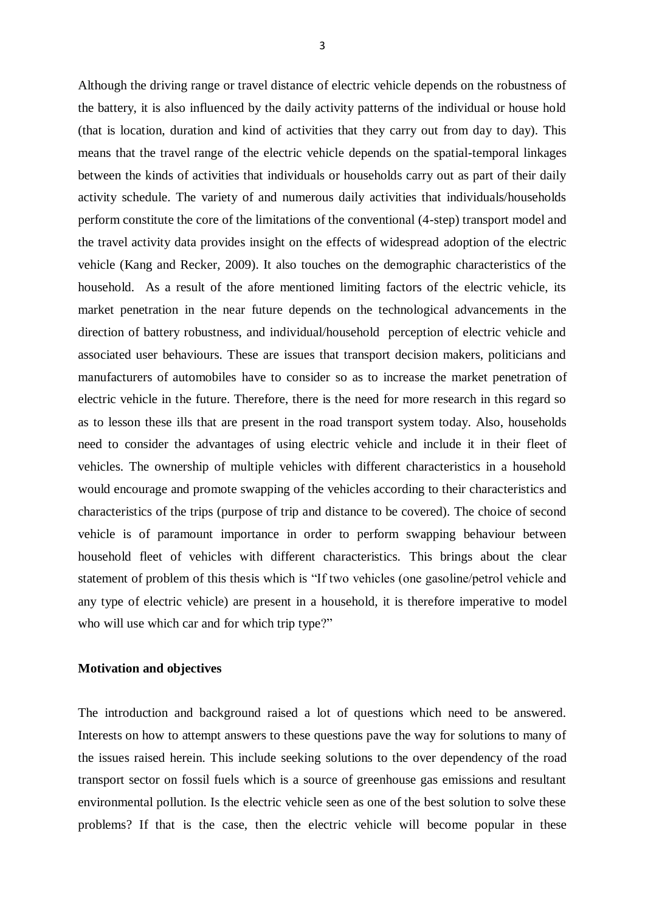Although the driving range or travel distance of electric vehicle depends on the robustness of the battery, it is also influenced by the daily activity patterns of the individual or house hold (that is location, duration and kind of activities that they carry out from day to day). This means that the travel range of the electric vehicle depends on the spatial-temporal linkages between the kinds of activities that individuals or households carry out as part of their daily activity schedule. The variety of and numerous daily activities that individuals/households perform constitute the core of the limitations of the conventional (4-step) transport model and the travel activity data provides insight on the effects of widespread adoption of the electric vehicle (Kang and Recker, 2009). It also touches on the demographic characteristics of the household. As a result of the afore mentioned limiting factors of the electric vehicle, its market penetration in the near future depends on the technological advancements in the direction of battery robustness, and individual/household perception of electric vehicle and associated user behaviours. These are issues that transport decision makers, politicians and manufacturers of automobiles have to consider so as to increase the market penetration of electric vehicle in the future. Therefore, there is the need for more research in this regard so as to lesson these ills that are present in the road transport system today. Also, households need to consider the advantages of using electric vehicle and include it in their fleet of vehicles. The ownership of multiple vehicles with different characteristics in a household would encourage and promote swapping of the vehicles according to their characteristics and characteristics of the trips (purpose of trip and distance to be covered). The choice of second vehicle is of paramount importance in order to perform swapping behaviour between household fleet of vehicles with different characteristics. This brings about the clear statement of problem of this thesis which is "If two vehicles (one gasoline/petrol vehicle and any type of electric vehicle) are present in a household, it is therefore imperative to model who will use which car and for which trip type?"

#### **Motivation and objectives**

The introduction and background raised a lot of questions which need to be answered. Interests on how to attempt answers to these questions pave the way for solutions to many of the issues raised herein. This include seeking solutions to the over dependency of the road transport sector on fossil fuels which is a source of greenhouse gas emissions and resultant environmental pollution. Is the electric vehicle seen as one of the best solution to solve these problems? If that is the case, then the electric vehicle will become popular in these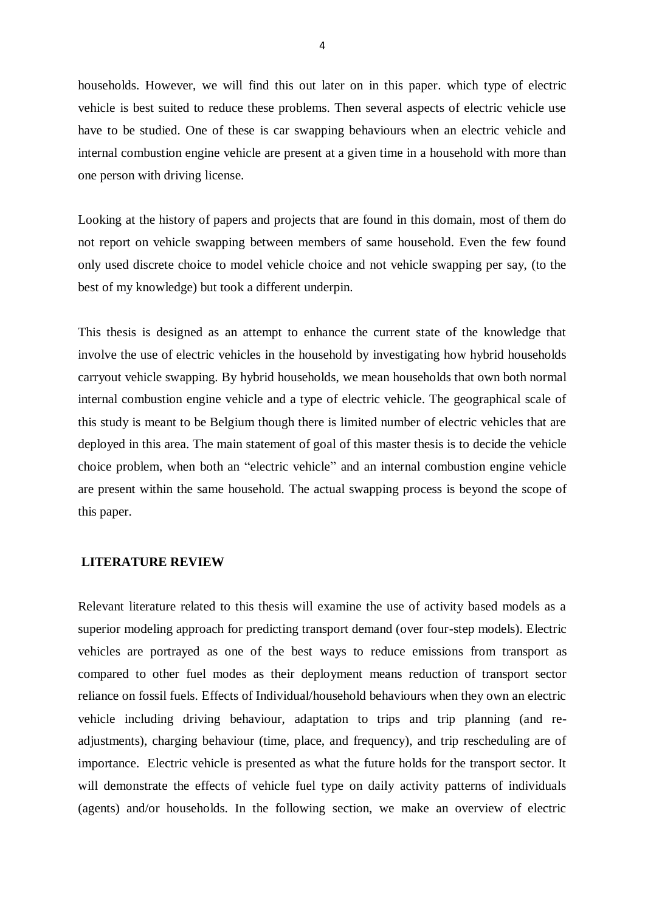households. However, we will find this out later on in this paper. which type of electric vehicle is best suited to reduce these problems. Then several aspects of electric vehicle use have to be studied. One of these is car swapping behaviours when an electric vehicle and internal combustion engine vehicle are present at a given time in a household with more than one person with driving license.

Looking at the history of papers and projects that are found in this domain, most of them do not report on vehicle swapping between members of same household. Even the few found only used discrete choice to model vehicle choice and not vehicle swapping per say, (to the best of my knowledge) but took a different underpin.

This thesis is designed as an attempt to enhance the current state of the knowledge that involve the use of electric vehicles in the household by investigating how hybrid households carryout vehicle swapping. By hybrid households, we mean households that own both normal internal combustion engine vehicle and a type of electric vehicle. The geographical scale of this study is meant to be Belgium though there is limited number of electric vehicles that are deployed in this area. The main statement of goal of this master thesis is to decide the vehicle choice problem, when both an "electric vehicle" and an internal combustion engine vehicle are present within the same household. The actual swapping process is beyond the scope of this paper.

#### **LITERATURE REVIEW**

Relevant literature related to this thesis will examine the use of activity based models as a superior modeling approach for predicting transport demand (over four-step models). Electric vehicles are portrayed as one of the best ways to reduce emissions from transport as compared to other fuel modes as their deployment means reduction of transport sector reliance on fossil fuels. Effects of Individual/household behaviours when they own an electric vehicle including driving behaviour, adaptation to trips and trip planning (and readjustments), charging behaviour (time, place, and frequency), and trip rescheduling are of importance. Electric vehicle is presented as what the future holds for the transport sector. It will demonstrate the effects of vehicle fuel type on daily activity patterns of individuals (agents) and/or households. In the following section, we make an overview of electric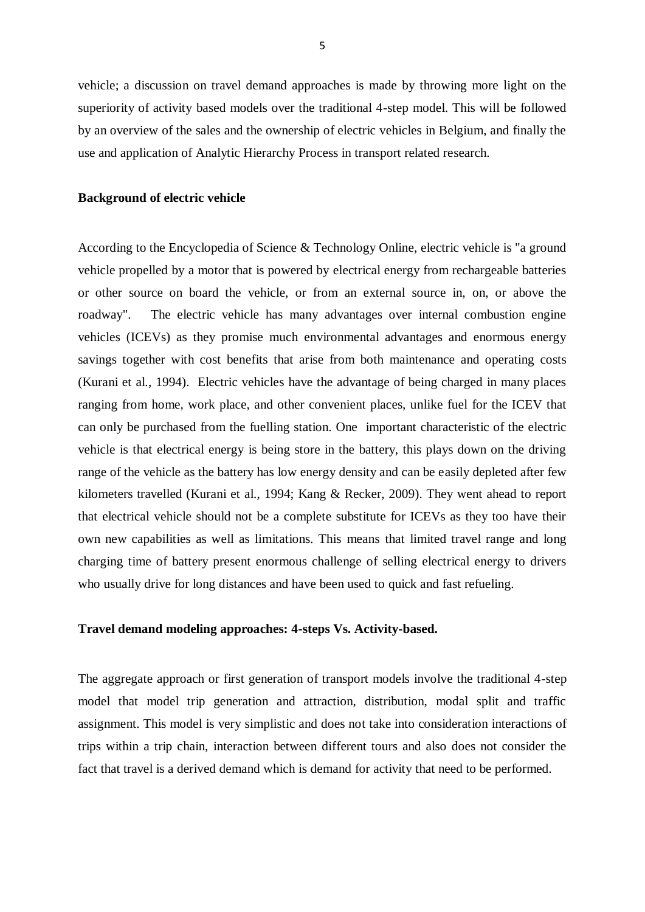vehicle; a discussion on travel demand approaches is made by throwing more light on the superiority of activity based models over the traditional 4-step model. This will be followed by an overview of the sales and the ownership of electric vehicles in Belgium, and finally the use and application of Analytic Hierarchy Process in transport related research.

#### **Background of electric vehicle**

According to the Encyclopedia of Science & Technology Online, electric vehicle is "a ground vehicle propelled by a motor that is powered by electrical energy from rechargeable batteries or other source on board the vehicle, or from an external source in, on, or above the roadway". The electric vehicle has many advantages over internal combustion engine vehicles (ICEVs) as they promise much environmental advantages and enormous energy savings together with cost benefits that arise from both maintenance and operating costs (Kurani et al., 1994). Electric vehicles have the advantage of being charged in many places ranging from home, work place, and other convenient places, unlike fuel for the ICEV that can only be purchased from the fuelling station. One important characteristic of the electric vehicle is that electrical energy is being store in the battery, this plays down on the driving range of the vehicle as the battery has low energy density and can be easily depleted after few kilometers travelled (Kurani et al., 1994; Kang & Recker, 2009). They went ahead to report that electrical vehicle should not be a complete substitute for ICEVs as they too have their own new capabilities as well as limitations. This means that limited travel range and long charging time of battery present enormous challenge of selling electrical energy to drivers who usually drive for long distances and have been used to quick and fast refueling.

#### **Travel demand modeling approaches: 4-steps Vs. Activity-based.**

The aggregate approach or first generation of transport models involve the traditional 4-step model that model trip generation and attraction, distribution, modal split and traffic assignment. This model is very simplistic and does not take into consideration interactions of trips within a trip chain, interaction between different tours and also does not consider the fact that travel is a derived demand which is demand for activity that need to be performed.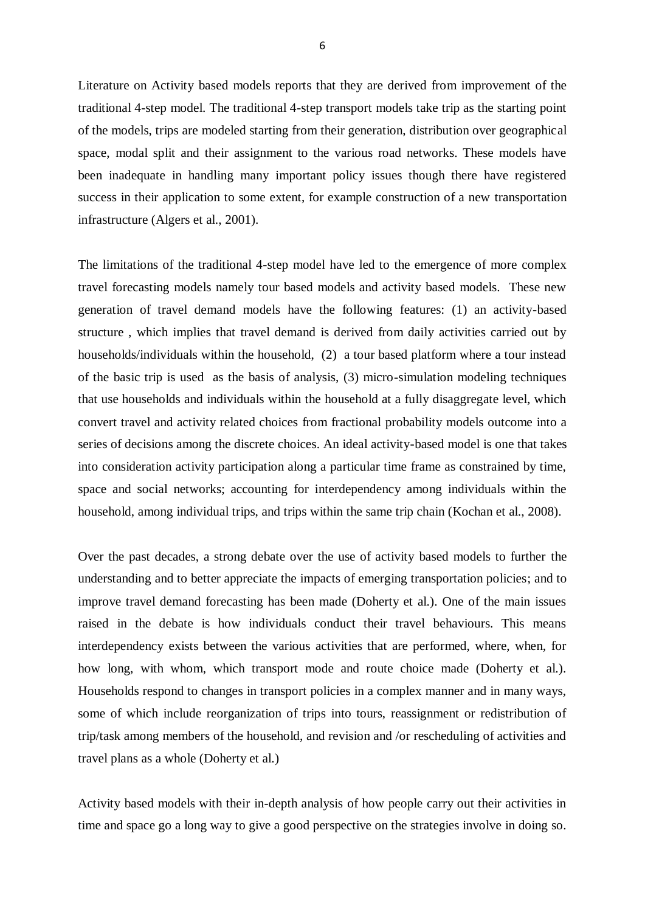Literature on Activity based models reports that they are derived from improvement of the traditional 4-step model. The traditional 4-step transport models take trip as the starting point of the models, trips are modeled starting from their generation, distribution over geographical space, modal split and their assignment to the various road networks. These models have been inadequate in handling many important policy issues though there have registered success in their application to some extent, for example construction of a new transportation infrastructure (Algers et al., 2001).

The limitations of the traditional 4-step model have led to the emergence of more complex travel forecasting models namely tour based models and activity based models. These new generation of travel demand models have the following features: (1) an activity-based structure , which implies that travel demand is derived from daily activities carried out by households/individuals within the household, (2) a tour based platform where a tour instead of the basic trip is used as the basis of analysis, (3) micro-simulation modeling techniques that use households and individuals within the household at a fully disaggregate level, which convert travel and activity related choices from fractional probability models outcome into a series of decisions among the discrete choices. An ideal activity-based model is one that takes into consideration activity participation along a particular time frame as constrained by time, space and social networks; accounting for interdependency among individuals within the household, among individual trips, and trips within the same trip chain (Kochan et al., 2008).

Over the past decades, a strong debate over the use of activity based models to further the understanding and to better appreciate the impacts of emerging transportation policies; and to improve travel demand forecasting has been made (Doherty et al.). One of the main issues raised in the debate is how individuals conduct their travel behaviours. This means interdependency exists between the various activities that are performed, where, when, for how long, with whom, which transport mode and route choice made (Doherty et al.). Households respond to changes in transport policies in a complex manner and in many ways, some of which include reorganization of trips into tours, reassignment or redistribution of trip/task among members of the household, and revision and /or rescheduling of activities and travel plans as a whole (Doherty et al.)

Activity based models with their in-depth analysis of how people carry out their activities in time and space go a long way to give a good perspective on the strategies involve in doing so.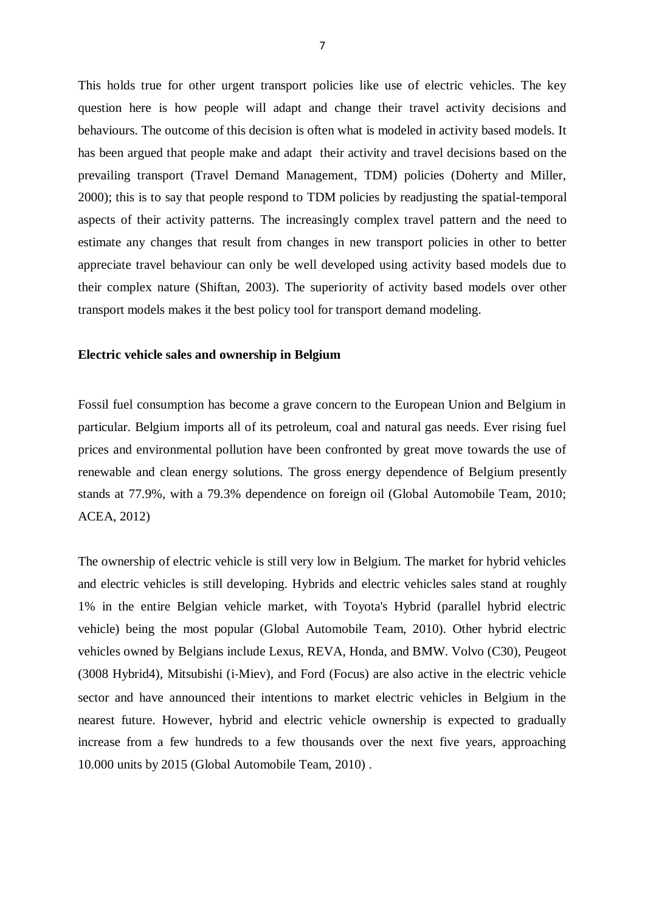This holds true for other urgent transport policies like use of electric vehicles. The key question here is how people will adapt and change their travel activity decisions and behaviours. The outcome of this decision is often what is modeled in activity based models. It has been argued that people make and adapt their activity and travel decisions based on the prevailing transport (Travel Demand Management, TDM) policies (Doherty and Miller, 2000); this is to say that people respond to TDM policies by readjusting the spatial-temporal aspects of their activity patterns. The increasingly complex travel pattern and the need to estimate any changes that result from changes in new transport policies in other to better appreciate travel behaviour can only be well developed using activity based models due to their complex nature (Shiftan, 2003). The superiority of activity based models over other transport models makes it the best policy tool for transport demand modeling.

#### **Electric vehicle sales and ownership in Belgium**

Fossil fuel consumption has become a grave concern to the European Union and Belgium in particular. Belgium imports all of its petroleum, coal and natural gas needs. Ever rising fuel prices and environmental pollution have been confronted by great move towards the use of renewable and clean energy solutions. The gross energy dependence of Belgium presently stands at 77.9%, with a 79.3% dependence on foreign oil (Global Automobile Team, 2010; ACEA, 2012)

The ownership of electric vehicle is still very low in Belgium. The market for hybrid vehicles and electric vehicles is still developing. Hybrids and electric vehicles sales stand at roughly 1% in the entire Belgian vehicle market, with Toyota's Hybrid (parallel hybrid electric vehicle) being the most popular (Global Automobile Team, 2010). Other hybrid electric vehicles owned by Belgians include Lexus, REVA, Honda, and BMW. Volvo (C30), Peugeot (3008 Hybrid4), Mitsubishi (i‐Miev), and Ford (Focus) are also active in the electric vehicle sector and have announced their intentions to market electric vehicles in Belgium in the nearest future. However, hybrid and electric vehicle ownership is expected to gradually increase from a few hundreds to a few thousands over the next five years, approaching 10.000 units by 2015 (Global Automobile Team, 2010) .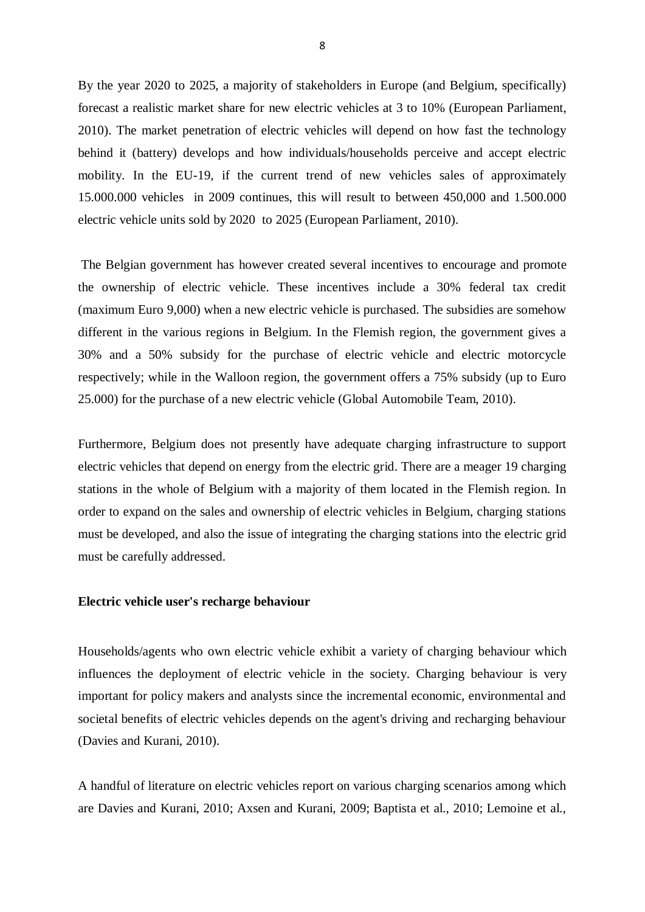By the year 2020 to 2025, a majority of stakeholders in Europe (and Belgium, specifically) forecast a realistic market share for new electric vehicles at 3 to 10% (European Parliament, 2010). The market penetration of electric vehicles will depend on how fast the technology behind it (battery) develops and how individuals/households perceive and accept electric mobility. In the EU-19, if the current trend of new vehicles sales of approximately 15.000.000 vehicles in 2009 continues, this will result to between 450,000 and 1.500.000 electric vehicle units sold by 2020 to 2025 (European Parliament, 2010).

The Belgian government has however created several incentives to encourage and promote the ownership of electric vehicle. These incentives include a 30% federal tax credit (maximum Euro 9,000) when a new electric vehicle is purchased. The subsidies are somehow different in the various regions in Belgium. In the Flemish region, the government gives a 30% and a 50% subsidy for the purchase of electric vehicle and electric motorcycle respectively; while in the Walloon region, the government offers a 75% subsidy (up to Euro 25.000) for the purchase of a new electric vehicle (Global Automobile Team, 2010).

Furthermore, Belgium does not presently have adequate charging infrastructure to support electric vehicles that depend on energy from the electric grid. There are a meager 19 charging stations in the whole of Belgium with a majority of them located in the Flemish region. In order to expand on the sales and ownership of electric vehicles in Belgium, charging stations must be developed, and also the issue of integrating the charging stations into the electric grid must be carefully addressed.

#### **Electric vehicle user's recharge behaviour**

Households/agents who own electric vehicle exhibit a variety of charging behaviour which influences the deployment of electric vehicle in the society. Charging behaviour is very important for policy makers and analysts since the incremental economic, environmental and societal benefits of electric vehicles depends on the agent's driving and recharging behaviour (Davies and Kurani, 2010).

A handful of literature on electric vehicles report on various charging scenarios among which are Davies and Kurani, 2010; Axsen and Kurani, 2009; Baptista et al., 2010; Lemoine et al.,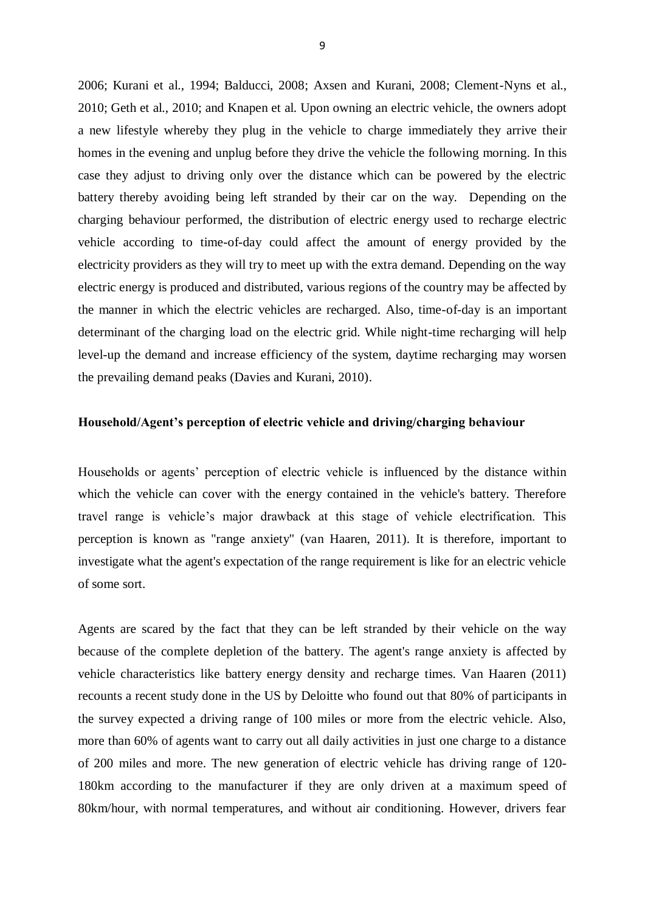2006; Kurani et al., 1994; Balducci, 2008; Axsen and Kurani, 2008; Clement-Nyns et al., 2010; Geth et al., 2010; and Knapen et al. Upon owning an electric vehicle, the owners adopt a new lifestyle whereby they plug in the vehicle to charge immediately they arrive their homes in the evening and unplug before they drive the vehicle the following morning. In this case they adjust to driving only over the distance which can be powered by the electric battery thereby avoiding being left stranded by their car on the way. Depending on the charging behaviour performed, the distribution of electric energy used to recharge electric vehicle according to time-of-day could affect the amount of energy provided by the electricity providers as they will try to meet up with the extra demand. Depending on the way electric energy is produced and distributed, various regions of the country may be affected by the manner in which the electric vehicles are recharged. Also, time-of-day is an important determinant of the charging load on the electric grid. While night-time recharging will help level-up the demand and increase efficiency of the system, daytime recharging may worsen the prevailing demand peaks (Davies and Kurani, 2010).

#### **Household/Agent's perception of electric vehicle and driving/charging behaviour**

Households or agents' perception of electric vehicle is influenced by the distance within which the vehicle can cover with the energy contained in the vehicle's battery. Therefore travel range is vehicle's major drawback at this stage of vehicle electrification. This perception is known as "range anxiety" (van Haaren, 2011). It is therefore, important to investigate what the agent's expectation of the range requirement is like for an electric vehicle of some sort.

Agents are scared by the fact that they can be left stranded by their vehicle on the way because of the complete depletion of the battery. The agent's range anxiety is affected by vehicle characteristics like battery energy density and recharge times. Van Haaren (2011) recounts a recent study done in the US by Deloitte who found out that 80% of participants in the survey expected a driving range of 100 miles or more from the electric vehicle. Also, more than 60% of agents want to carry out all daily activities in just one charge to a distance of 200 miles and more. The new generation of electric vehicle has driving range of 120- 180km according to the manufacturer if they are only driven at a maximum speed of 80km/hour, with normal temperatures, and without air conditioning. However, drivers fear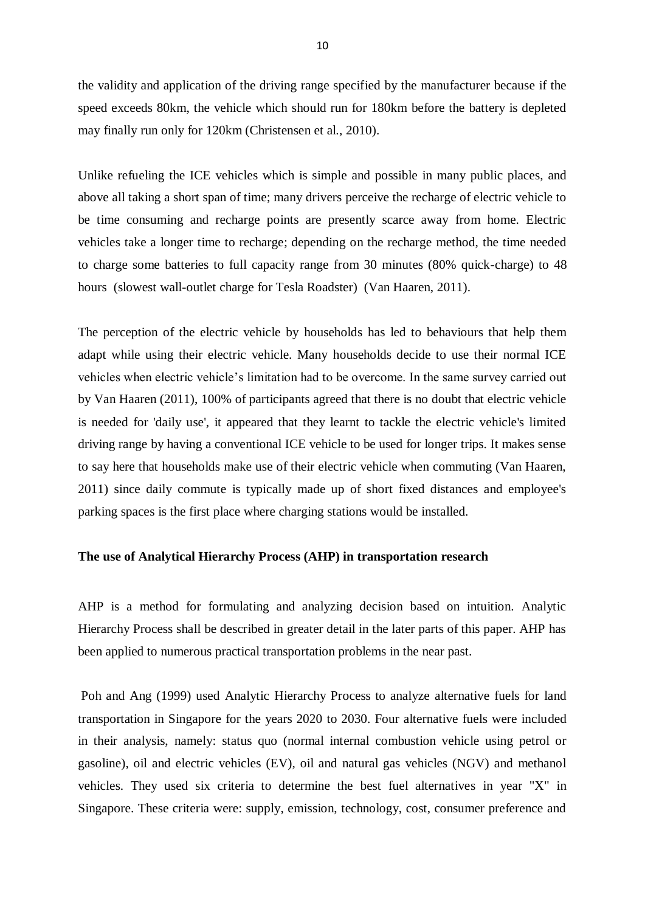the validity and application of the driving range specified by the manufacturer because if the speed exceeds 80km, the vehicle which should run for 180km before the battery is depleted may finally run only for 120km (Christensen et al., 2010).

Unlike refueling the ICE vehicles which is simple and possible in many public places, and above all taking a short span of time; many drivers perceive the recharge of electric vehicle to be time consuming and recharge points are presently scarce away from home. Electric vehicles take a longer time to recharge; depending on the recharge method, the time needed to charge some batteries to full capacity range from 30 minutes (80% quick-charge) to 48 hours (slowest wall-outlet charge for Tesla Roadster) (Van Haaren, 2011).

The perception of the electric vehicle by households has led to behaviours that help them adapt while using their electric vehicle. Many households decide to use their normal ICE vehicles when electric vehicle's limitation had to be overcome. In the same survey carried out by Van Haaren (2011), 100% of participants agreed that there is no doubt that electric vehicle is needed for 'daily use', it appeared that they learnt to tackle the electric vehicle's limited driving range by having a conventional ICE vehicle to be used for longer trips. It makes sense to say here that households make use of their electric vehicle when commuting (Van Haaren, 2011) since daily commute is typically made up of short fixed distances and employee's parking spaces is the first place where charging stations would be installed.

#### **The use of Analytical Hierarchy Process (AHP) in transportation research**

AHP is a method for formulating and analyzing decision based on intuition. Analytic Hierarchy Process shall be described in greater detail in the later parts of this paper. AHP has been applied to numerous practical transportation problems in the near past.

Poh and Ang (1999) used Analytic Hierarchy Process to analyze alternative fuels for land transportation in Singapore for the years 2020 to 2030. Four alternative fuels were included in their analysis, namely: status quo (normal internal combustion vehicle using petrol or gasoline), oil and electric vehicles (EV), oil and natural gas vehicles (NGV) and methanol vehicles. They used six criteria to determine the best fuel alternatives in year "X" in Singapore. These criteria were: supply, emission, technology, cost, consumer preference and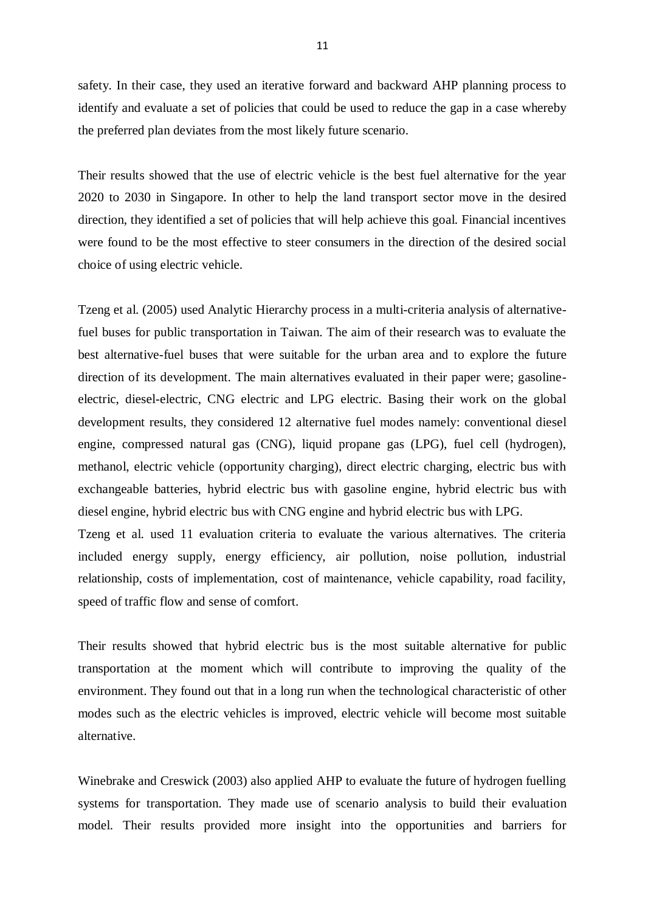safety. In their case, they used an iterative forward and backward AHP planning process to identify and evaluate a set of policies that could be used to reduce the gap in a case whereby the preferred plan deviates from the most likely future scenario.

Their results showed that the use of electric vehicle is the best fuel alternative for the year 2020 to 2030 in Singapore. In other to help the land transport sector move in the desired direction, they identified a set of policies that will help achieve this goal. Financial incentives were found to be the most effective to steer consumers in the direction of the desired social choice of using electric vehicle.

Tzeng et al. (2005) used Analytic Hierarchy process in a multi-criteria analysis of alternativefuel buses for public transportation in Taiwan. The aim of their research was to evaluate the best alternative-fuel buses that were suitable for the urban area and to explore the future direction of its development. The main alternatives evaluated in their paper were; gasolineelectric, diesel-electric, CNG electric and LPG electric. Basing their work on the global development results, they considered 12 alternative fuel modes namely: conventional diesel engine, compressed natural gas (CNG), liquid propane gas (LPG), fuel cell (hydrogen), methanol, electric vehicle (opportunity charging), direct electric charging, electric bus with exchangeable batteries, hybrid electric bus with gasoline engine, hybrid electric bus with diesel engine, hybrid electric bus with CNG engine and hybrid electric bus with LPG. Tzeng et al. used 11 evaluation criteria to evaluate the various alternatives. The criteria included energy supply, energy efficiency, air pollution, noise pollution, industrial

relationship, costs of implementation, cost of maintenance, vehicle capability, road facility, speed of traffic flow and sense of comfort.

Their results showed that hybrid electric bus is the most suitable alternative for public transportation at the moment which will contribute to improving the quality of the environment. They found out that in a long run when the technological characteristic of other modes such as the electric vehicles is improved, electric vehicle will become most suitable alternative.

Winebrake and Creswick (2003) also applied AHP to evaluate the future of hydrogen fuelling systems for transportation. They made use of scenario analysis to build their evaluation model. Their results provided more insight into the opportunities and barriers for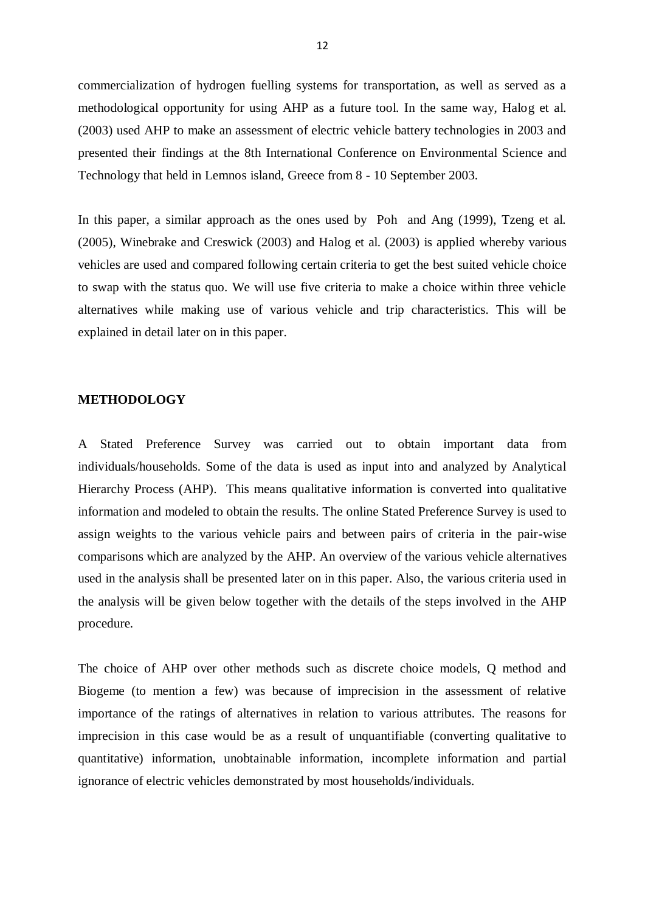commercialization of hydrogen fuelling systems for transportation, as well as served as a methodological opportunity for using AHP as a future tool. In the same way, Halog et al. (2003) used AHP to make an assessment of electric vehicle battery technologies in 2003 and presented their findings at the 8th International Conference on Environmental Science and Technology that held in Lemnos island, Greece from 8 - 10 September 2003.

In this paper, a similar approach as the ones used by Poh and Ang (1999), Tzeng et al. (2005), Winebrake and Creswick (2003) and Halog et al. (2003) is applied whereby various vehicles are used and compared following certain criteria to get the best suited vehicle choice to swap with the status quo. We will use five criteria to make a choice within three vehicle alternatives while making use of various vehicle and trip characteristics. This will be explained in detail later on in this paper.

#### **METHODOLOGY**

A Stated Preference Survey was carried out to obtain important data from individuals/households. Some of the data is used as input into and analyzed by Analytical Hierarchy Process (AHP). This means qualitative information is converted into qualitative information and modeled to obtain the results. The online Stated Preference Survey is used to assign weights to the various vehicle pairs and between pairs of criteria in the pair-wise comparisons which are analyzed by the AHP. An overview of the various vehicle alternatives used in the analysis shall be presented later on in this paper. Also, the various criteria used in the analysis will be given below together with the details of the steps involved in the AHP procedure.

The choice of AHP over other methods such as discrete choice models, Q method and Biogeme (to mention a few) was because of imprecision in the assessment of relative importance of the ratings of alternatives in relation to various attributes. The reasons for imprecision in this case would be as a result of unquantifiable (converting qualitative to quantitative) information, unobtainable information, incomplete information and partial ignorance of electric vehicles demonstrated by most households/individuals.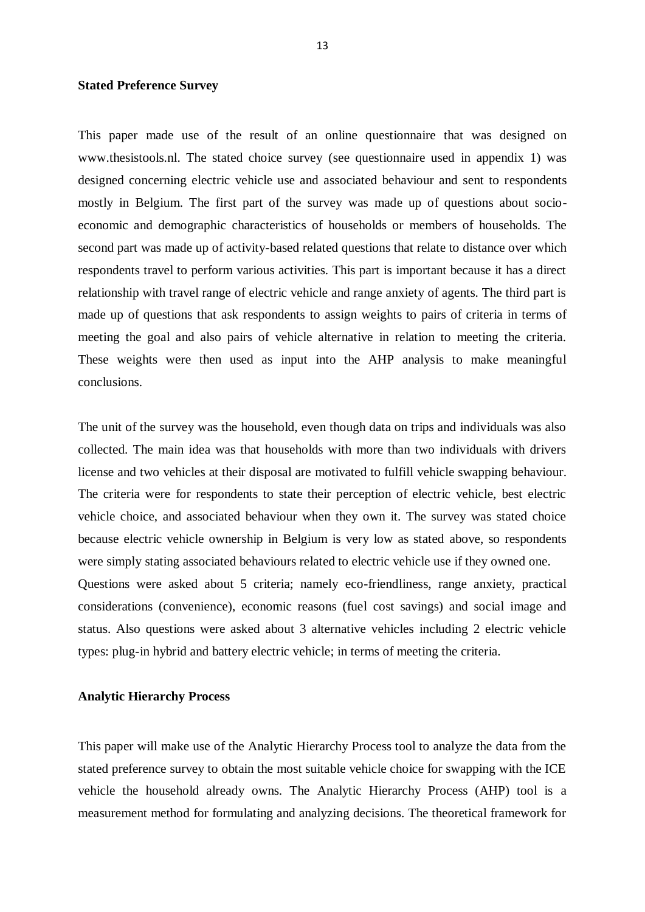#### **Stated Preference Survey**

This paper made use of the result of an online questionnaire that was designed on www.thesistools.nl. The stated choice survey (see questionnaire used in appendix 1) was designed concerning electric vehicle use and associated behaviour and sent to respondents mostly in Belgium. The first part of the survey was made up of questions about socioeconomic and demographic characteristics of households or members of households. The second part was made up of activity-based related questions that relate to distance over which respondents travel to perform various activities. This part is important because it has a direct relationship with travel range of electric vehicle and range anxiety of agents. The third part is made up of questions that ask respondents to assign weights to pairs of criteria in terms of meeting the goal and also pairs of vehicle alternative in relation to meeting the criteria. These weights were then used as input into the AHP analysis to make meaningful conclusions.

The unit of the survey was the household, even though data on trips and individuals was also collected. The main idea was that households with more than two individuals with drivers license and two vehicles at their disposal are motivated to fulfill vehicle swapping behaviour. The criteria were for respondents to state their perception of electric vehicle, best electric vehicle choice, and associated behaviour when they own it. The survey was stated choice because electric vehicle ownership in Belgium is very low as stated above, so respondents were simply stating associated behaviours related to electric vehicle use if they owned one. Questions were asked about 5 criteria; namely eco-friendliness, range anxiety, practical considerations (convenience), economic reasons (fuel cost savings) and social image and status. Also questions were asked about 3 alternative vehicles including 2 electric vehicle types: plug-in hybrid and battery electric vehicle; in terms of meeting the criteria.

#### **Analytic Hierarchy Process**

This paper will make use of the Analytic Hierarchy Process tool to analyze the data from the stated preference survey to obtain the most suitable vehicle choice for swapping with the ICE vehicle the household already owns. The Analytic Hierarchy Process (AHP) tool is a measurement method for formulating and analyzing decisions. The theoretical framework for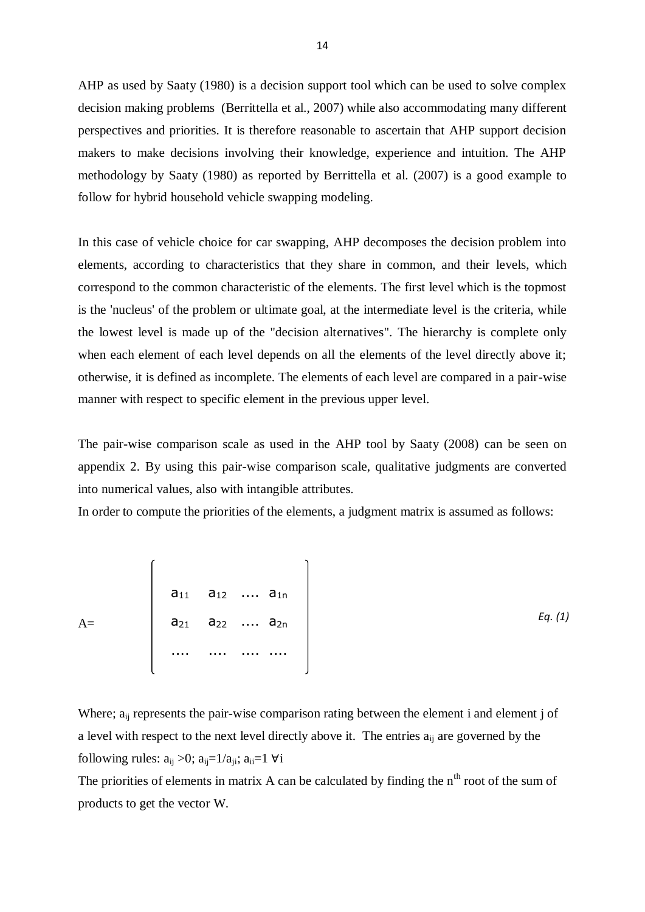AHP as used by Saaty (1980) is a decision support tool which can be used to solve complex decision making problems (Berrittella et al., 2007) while also accommodating many different perspectives and priorities. It is therefore reasonable to ascertain that AHP support decision makers to make decisions involving their knowledge, experience and intuition. The AHP methodology by Saaty (1980) as reported by Berrittella et al. (2007) is a good example to follow for hybrid household vehicle swapping modeling.

In this case of vehicle choice for car swapping, AHP decomposes the decision problem into elements, according to characteristics that they share in common, and their levels, which correspond to the common characteristic of the elements. The first level which is the topmost is the 'nucleus' of the problem or ultimate goal, at the intermediate level is the criteria, while the lowest level is made up of the "decision alternatives". The hierarchy is complete only when each element of each level depends on all the elements of the level directly above it; otherwise, it is defined as incomplete. The elements of each level are compared in a pair-wise manner with respect to specific element in the previous upper level.

The pair-wise comparison scale as used in the AHP tool by Saaty (2008) can be seen on appendix 2. By using this pair-wise comparison scale, qualitative judgments are converted into numerical values, also with intangible attributes.

In order to compute the priorities of the elements, a judgment matrix is assumed as follows:

$$
A = \begin{bmatrix} a_{11} & a_{12} & \dots & a_{1n} \\ a_{21} & a_{22} & \dots & a_{2n} \\ \dots & \dots & \dots & \dots \end{bmatrix}
$$
 Eq. (1)

Where; a<sub>ij</sub> represents the pair-wise comparison rating between the element i and element j of a level with respect to the next level directly above it. The entries  $a_{ij}$  are governed by the following rules:  $a_{ij} > 0$ ;  $a_{ij} = 1/a_{ji}$ ;  $a_{ii} = 1 \forall i$ 

The priorities of elements in matrix A can be calculated by finding the  $n<sup>th</sup>$  root of the sum of products to get the vector W.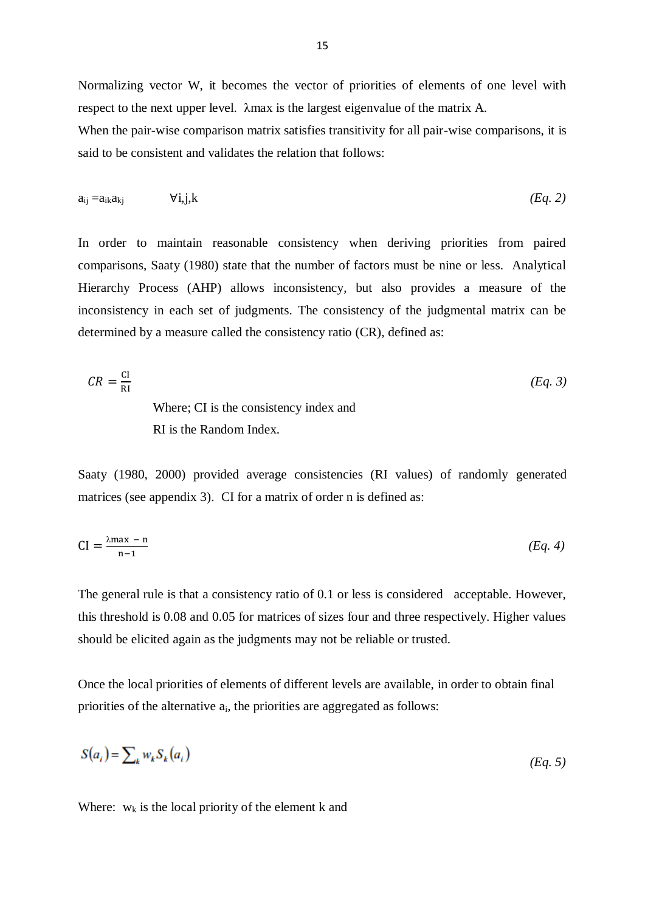Normalizing vector W, it becomes the vector of priorities of elements of one level with respect to the next upper level. λmax is the largest eigenvalue of the matrix A.

When the pair-wise comparison matrix satisfies transitivity for all pair-wise comparisons, it is said to be consistent and validates the relation that follows:

$$
a_{ij} = a_{ik}a_{kj} \qquad \forall i,j,k
$$

In order to maintain reasonable consistency when deriving priorities from paired comparisons, Saaty (1980) state that the number of factors must be nine or less. Analytical Hierarchy Process (AHP) allows inconsistency, but also provides a measure of the inconsistency in each set of judgments. The consistency of the judgmental matrix can be determined by a measure called the consistency ratio (CR), defined as:

$$
CR = \frac{CI}{RI}
$$
  
Where; CI is the consistency index and  
RI is the Random Index.

Saaty (1980, 2000) provided average consistencies (RI values) of randomly generated matrices (see appendix 3). CI for a matrix of order n is defined as:

$$
CI = \frac{\lambda \max - n}{n - 1} \tag{Eq. 4}
$$

The general rule is that a consistency ratio of 0.1 or less is considered acceptable. However, this threshold is 0.08 and 0.05 for matrices of sizes four and three respectively. Higher values should be elicited again as the judgments may not be reliable or trusted.

Once the local priorities of elements of different levels are available, in order to obtain final priorities of the alternative ai, the priorities are aggregated as follows:

$$
S(a_i) = \sum_k w_k S_k(a_i) \tag{Eq. 5}
$$

Where:  $w_k$  is the local priority of the element k and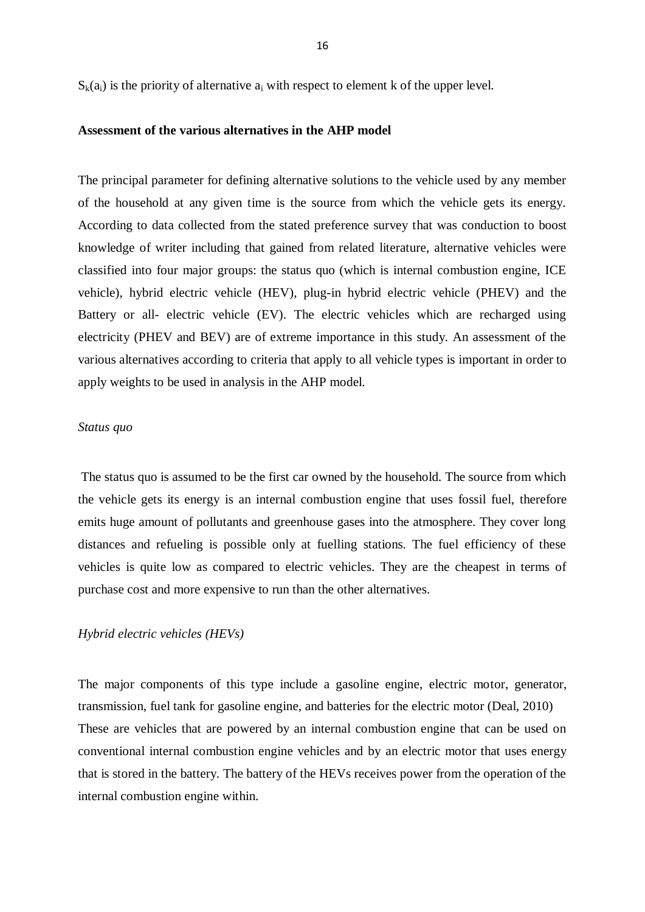$S_k(a_i)$  is the priority of alternative  $a_i$  with respect to element k of the upper level.

#### **Assessment of the various alternatives in the AHP model**

The principal parameter for defining alternative solutions to the vehicle used by any member of the household at any given time is the source from which the vehicle gets its energy. According to data collected from the stated preference survey that was conduction to boost knowledge of writer including that gained from related literature, alternative vehicles were classified into four major groups: the status quo (which is internal combustion engine, ICE vehicle), hybrid electric vehicle (HEV), plug-in hybrid electric vehicle (PHEV) and the Battery or all- electric vehicle (EV). The electric vehicles which are recharged using electricity (PHEV and BEV) are of extreme importance in this study. An assessment of the various alternatives according to criteria that apply to all vehicle types is important in order to apply weights to be used in analysis in the AHP model.

#### *Status quo*

The status quo is assumed to be the first car owned by the household. The source from which the vehicle gets its energy is an internal combustion engine that uses fossil fuel, therefore emits huge amount of pollutants and greenhouse gases into the atmosphere. They cover long distances and refueling is possible only at fuelling stations. The fuel efficiency of these vehicles is quite low as compared to electric vehicles. They are the cheapest in terms of purchase cost and more expensive to run than the other alternatives.

#### *Hybrid electric vehicles (HEVs)*

The major components of this type include a gasoline engine, electric motor, generator, transmission, fuel tank for gasoline engine, and batteries for the electric motor (Deal, 2010) These are vehicles that are powered by an internal combustion engine that can be used on conventional internal combustion engine vehicles and by an electric motor that uses energy that is stored in the battery. The battery of the HEVs receives power from the operation of the internal combustion engine within.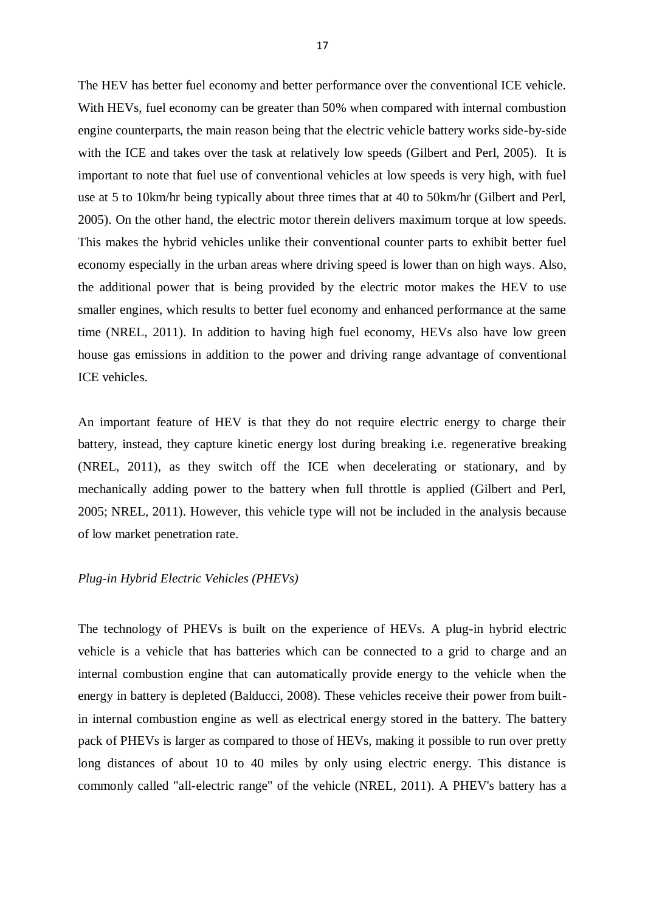The HEV has better fuel economy and better performance over the conventional ICE vehicle. With HEVs, fuel economy can be greater than 50% when compared with internal combustion engine counterparts, the main reason being that the electric vehicle battery works side-by-side with the ICE and takes over the task at relatively low speeds (Gilbert and Perl, 2005). It is important to note that fuel use of conventional vehicles at low speeds is very high, with fuel use at 5 to 10km/hr being typically about three times that at 40 to 50km/hr (Gilbert and Perl, 2005). On the other hand, the electric motor therein delivers maximum torque at low speeds. This makes the hybrid vehicles unlike their conventional counter parts to exhibit better fuel economy especially in the urban areas where driving speed is lower than on high ways. Also, the additional power that is being provided by the electric motor makes the HEV to use smaller engines, which results to better fuel economy and enhanced performance at the same time (NREL, 2011). In addition to having high fuel economy, HEVs also have low green house gas emissions in addition to the power and driving range advantage of conventional ICE vehicles.

An important feature of HEV is that they do not require electric energy to charge their battery, instead, they capture kinetic energy lost during breaking i.e. regenerative breaking (NREL, 2011), as they switch off the ICE when decelerating or stationary, and by mechanically adding power to the battery when full throttle is applied (Gilbert and Perl, 2005; NREL, 2011). However, this vehicle type will not be included in the analysis because of low market penetration rate.

#### *Plug-in Hybrid Electric Vehicles (PHEVs)*

The technology of PHEVs is built on the experience of HEVs. A plug-in hybrid electric vehicle is a vehicle that has batteries which can be connected to a grid to charge and an internal combustion engine that can automatically provide energy to the vehicle when the energy in battery is depleted (Balducci, 2008). These vehicles receive their power from builtin internal combustion engine as well as electrical energy stored in the battery. The battery pack of PHEVs is larger as compared to those of HEVs, making it possible to run over pretty long distances of about 10 to 40 miles by only using electric energy. This distance is commonly called "all-electric range" of the vehicle (NREL, 2011). A PHEV's battery has a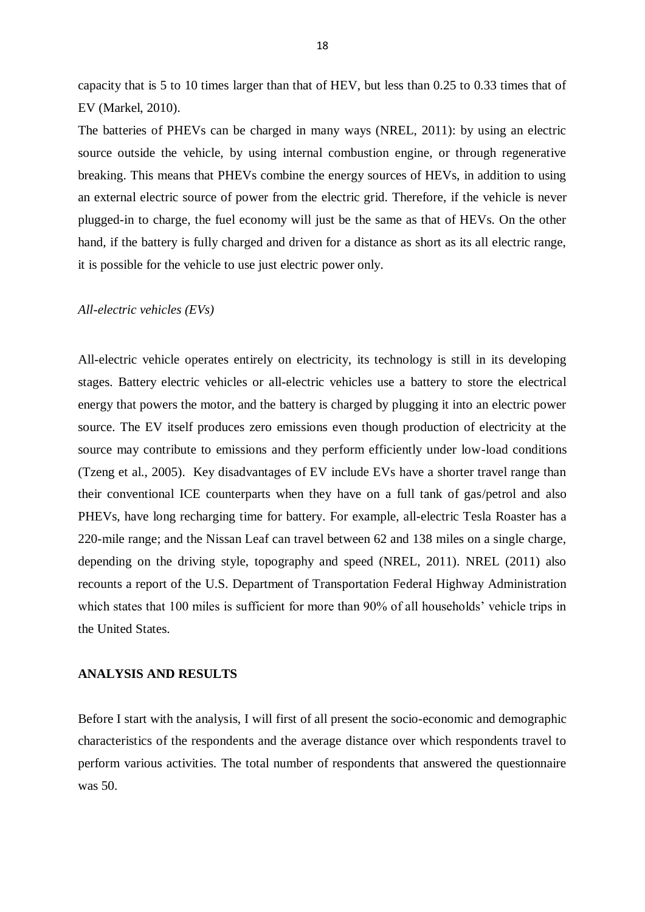capacity that is 5 to 10 times larger than that of HEV, but less than 0.25 to 0.33 times that of EV (Markel, 2010).

The batteries of PHEVs can be charged in many ways (NREL, 2011): by using an electric source outside the vehicle, by using internal combustion engine, or through regenerative breaking. This means that PHEVs combine the energy sources of HEVs, in addition to using an external electric source of power from the electric grid. Therefore, if the vehicle is never plugged-in to charge, the fuel economy will just be the same as that of HEVs. On the other hand, if the battery is fully charged and driven for a distance as short as its all electric range, it is possible for the vehicle to use just electric power only.

#### *All-electric vehicles (EVs)*

All-electric vehicle operates entirely on electricity, its technology is still in its developing stages. Battery electric vehicles or all-electric vehicles use a battery to store the electrical energy that powers the motor, and the battery is charged by plugging it into an electric power source. The EV itself produces zero emissions even though production of electricity at the source may contribute to emissions and they perform efficiently under low-load conditions (Tzeng et al., 2005). Key disadvantages of EV include EVs have a shorter travel range than their conventional ICE counterparts when they have on a full tank of gas/petrol and also PHEVs, have long recharging time for battery. For example, all-electric Tesla Roaster has a 220-mile range; and the Nissan Leaf can travel between 62 and 138 miles on a single charge, depending on the driving style, topography and speed (NREL, 2011). NREL (2011) also recounts a report of the U.S. Department of Transportation Federal Highway Administration which states that 100 miles is sufficient for more than 90% of all households' vehicle trips in the United States.

#### **ANALYSIS AND RESULTS**

Before I start with the analysis, I will first of all present the socio-economic and demographic characteristics of the respondents and the average distance over which respondents travel to perform various activities. The total number of respondents that answered the questionnaire was 50.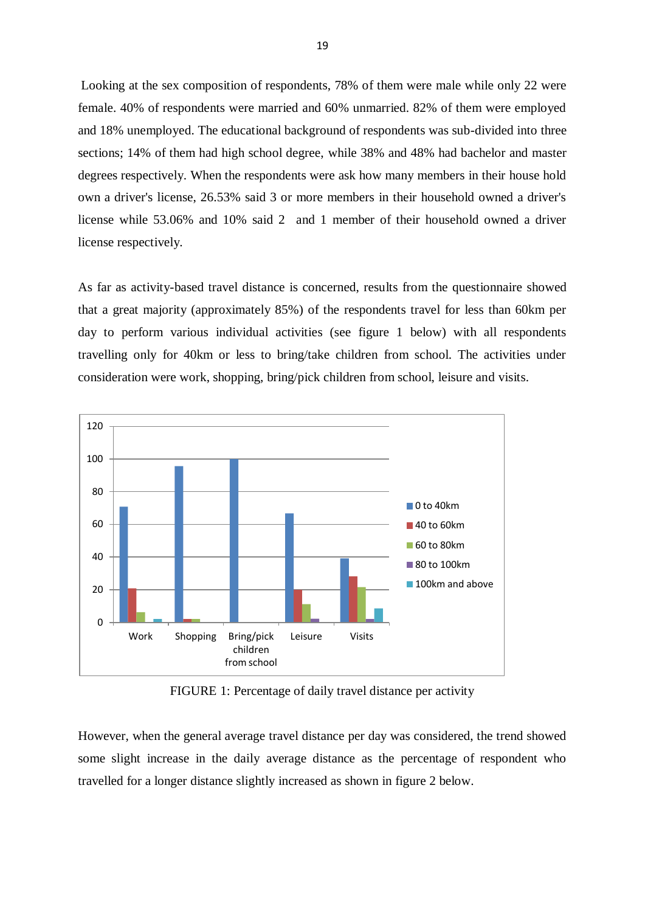Looking at the sex composition of respondents, 78% of them were male while only 22 were female. 40% of respondents were married and 60% unmarried. 82% of them were employed and 18% unemployed. The educational background of respondents was sub-divided into three sections; 14% of them had high school degree, while 38% and 48% had bachelor and master degrees respectively. When the respondents were ask how many members in their house hold own a driver's license, 26.53% said 3 or more members in their household owned a driver's license while 53.06% and 10% said 2 and 1 member of their household owned a driver license respectively.

As far as activity-based travel distance is concerned, results from the questionnaire showed that a great majority (approximately 85%) of the respondents travel for less than 60km per day to perform various individual activities (see figure 1 below) with all respondents travelling only for 40km or less to bring/take children from school. The activities under consideration were work, shopping, bring/pick children from school, leisure and visits.



FIGURE 1: Percentage of daily travel distance per activity

However, when the general average travel distance per day was considered, the trend showed some slight increase in the daily average distance as the percentage of respondent who travelled for a longer distance slightly increased as shown in figure 2 below.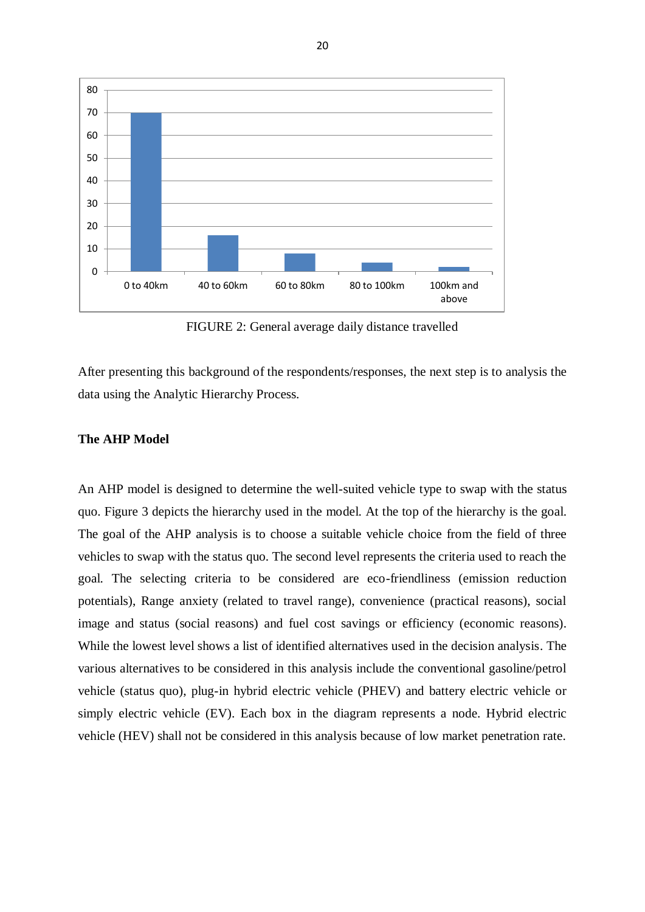

FIGURE 2: General average daily distance travelled

After presenting this background of the respondents/responses, the next step is to analysis the data using the Analytic Hierarchy Process.

#### **The AHP Model**

An AHP model is designed to determine the well-suited vehicle type to swap with the status quo. Figure 3 depicts the hierarchy used in the model. At the top of the hierarchy is the goal. The goal of the AHP analysis is to choose a suitable vehicle choice from the field of three vehicles to swap with the status quo. The second level represents the criteria used to reach the goal. The selecting criteria to be considered are eco-friendliness (emission reduction potentials), Range anxiety (related to travel range), convenience (practical reasons), social image and status (social reasons) and fuel cost savings or efficiency (economic reasons). While the lowest level shows a list of identified alternatives used in the decision analysis. The various alternatives to be considered in this analysis include the conventional gasoline/petrol vehicle (status quo), plug-in hybrid electric vehicle (PHEV) and battery electric vehicle or simply electric vehicle (EV). Each box in the diagram represents a node. Hybrid electric vehicle (HEV) shall not be considered in this analysis because of low market penetration rate.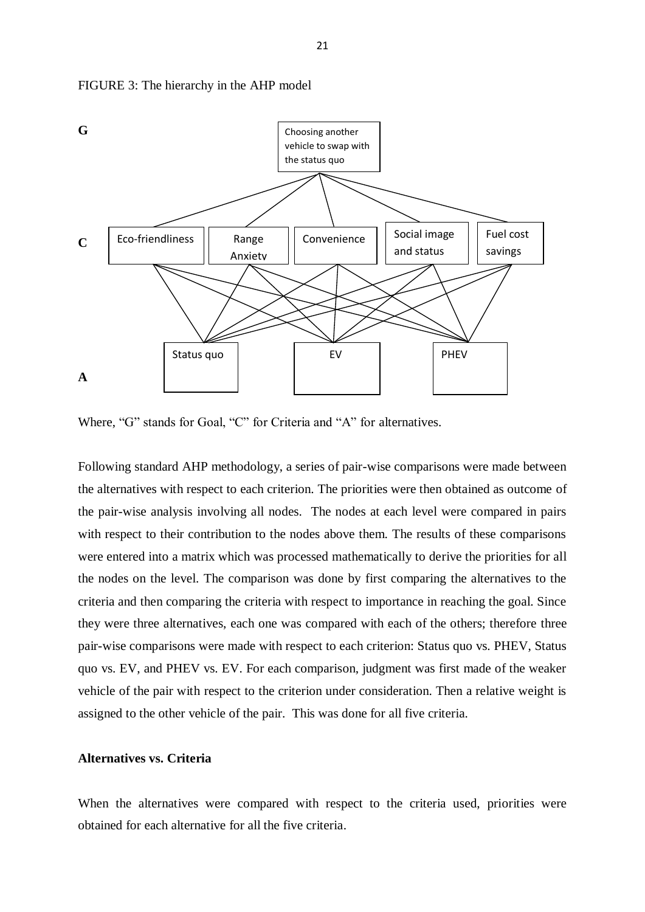

FIGURE 3: The hierarchy in the AHP model

Where, "G" stands for Goal, "C" for Criteria and "A" for alternatives.

Following standard AHP methodology, a series of pair-wise comparisons were made between the alternatives with respect to each criterion. The priorities were then obtained as outcome of the pair-wise analysis involving all nodes. The nodes at each level were compared in pairs with respect to their contribution to the nodes above them. The results of these comparisons were entered into a matrix which was processed mathematically to derive the priorities for all the nodes on the level. The comparison was done by first comparing the alternatives to the criteria and then comparing the criteria with respect to importance in reaching the goal. Since they were three alternatives, each one was compared with each of the others; therefore three pair-wise comparisons were made with respect to each criterion: Status quo vs. PHEV, Status quo vs. EV, and PHEV vs. EV. For each comparison, judgment was first made of the weaker vehicle of the pair with respect to the criterion under consideration. Then a relative weight is assigned to the other vehicle of the pair. This was done for all five criteria.

#### **Alternatives vs. Criteria**

When the alternatives were compared with respect to the criteria used, priorities were obtained for each alternative for all the five criteria.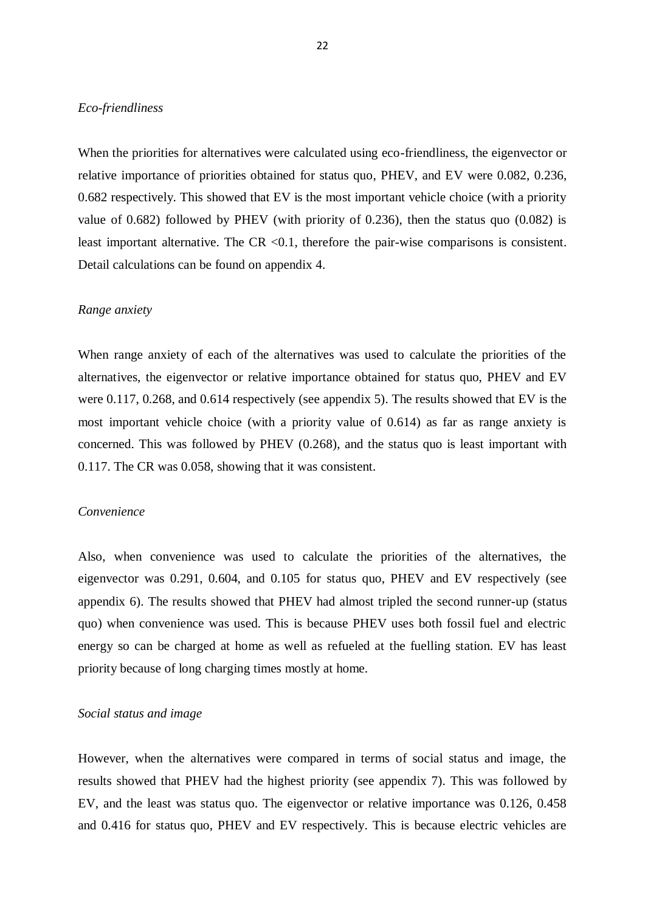#### *Eco-friendliness*

When the priorities for alternatives were calculated using eco-friendliness, the eigenvector or relative importance of priorities obtained for status quo, PHEV, and EV were 0.082, 0.236, 0.682 respectively. This showed that EV is the most important vehicle choice (with a priority value of 0.682) followed by PHEV (with priority of 0.236), then the status quo (0.082) is least important alternative. The  $CR < 0.1$ , therefore the pair-wise comparisons is consistent. Detail calculations can be found on appendix 4.

#### *Range anxiety*

When range anxiety of each of the alternatives was used to calculate the priorities of the alternatives, the eigenvector or relative importance obtained for status quo, PHEV and EV were 0.117, 0.268, and 0.614 respectively (see appendix 5). The results showed that EV is the most important vehicle choice (with a priority value of 0.614) as far as range anxiety is concerned. This was followed by PHEV (0.268), and the status quo is least important with 0.117. The CR was 0.058, showing that it was consistent.

#### *Convenience*

Also, when convenience was used to calculate the priorities of the alternatives, the eigenvector was 0.291, 0.604, and 0.105 for status quo, PHEV and EV respectively (see appendix 6). The results showed that PHEV had almost tripled the second runner-up (status quo) when convenience was used. This is because PHEV uses both fossil fuel and electric energy so can be charged at home as well as refueled at the fuelling station. EV has least priority because of long charging times mostly at home.

#### *Social status and image*

However, when the alternatives were compared in terms of social status and image, the results showed that PHEV had the highest priority (see appendix 7). This was followed by EV, and the least was status quo. The eigenvector or relative importance was 0.126, 0.458 and 0.416 for status quo, PHEV and EV respectively. This is because electric vehicles are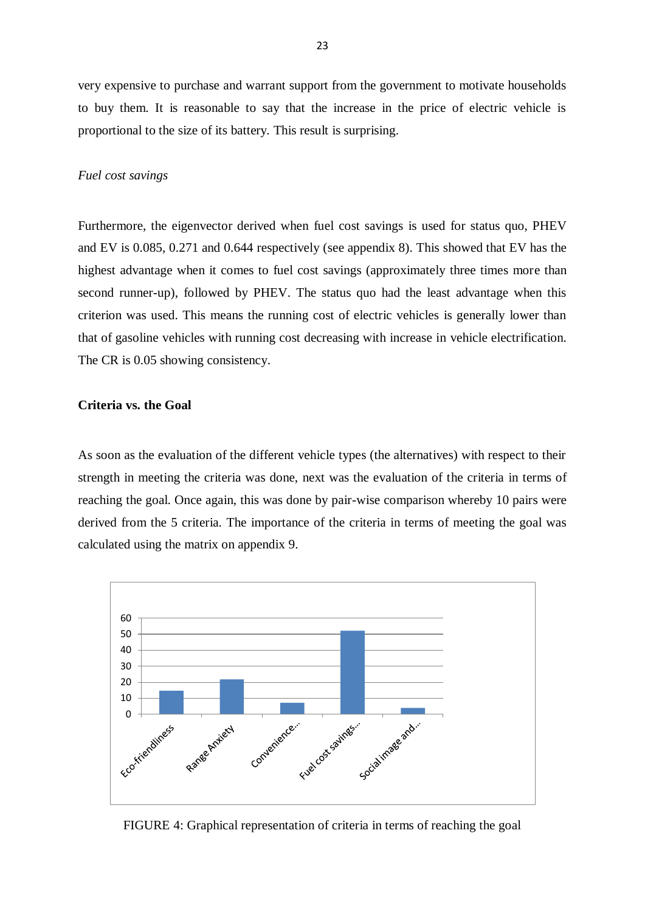very expensive to purchase and warrant support from the government to motivate households to buy them. It is reasonable to say that the increase in the price of electric vehicle is proportional to the size of its battery. This result is surprising.

#### *Fuel cost savings*

Furthermore, the eigenvector derived when fuel cost savings is used for status quo, PHEV and EV is 0.085, 0.271 and 0.644 respectively (see appendix 8). This showed that EV has the highest advantage when it comes to fuel cost savings (approximately three times more than second runner-up), followed by PHEV. The status quo had the least advantage when this criterion was used. This means the running cost of electric vehicles is generally lower than that of gasoline vehicles with running cost decreasing with increase in vehicle electrification. The CR is 0.05 showing consistency.

#### **Criteria vs. the Goal**

As soon as the evaluation of the different vehicle types (the alternatives) with respect to their strength in meeting the criteria was done, next was the evaluation of the criteria in terms of reaching the goal. Once again, this was done by pair-wise comparison whereby 10 pairs were derived from the 5 criteria. The importance of the criteria in terms of meeting the goal was calculated using the matrix on appendix 9.



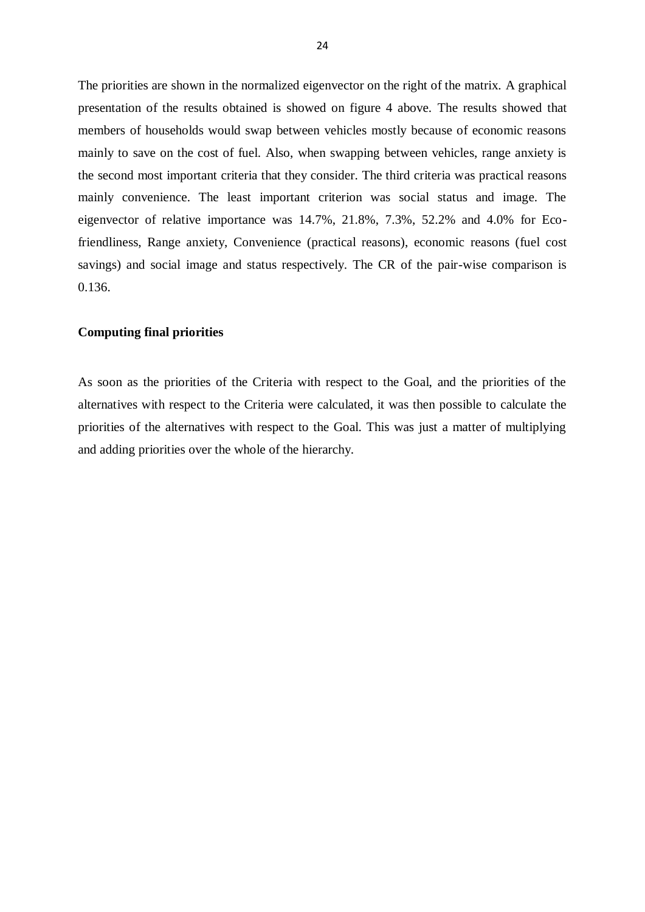The priorities are shown in the normalized eigenvector on the right of the matrix. A graphical presentation of the results obtained is showed on figure 4 above. The results showed that members of households would swap between vehicles mostly because of economic reasons mainly to save on the cost of fuel. Also, when swapping between vehicles, range anxiety is the second most important criteria that they consider. The third criteria was practical reasons mainly convenience. The least important criterion was social status and image. The eigenvector of relative importance was 14.7%, 21.8%, 7.3%, 52.2% and 4.0% for Ecofriendliness, Range anxiety, Convenience (practical reasons), economic reasons (fuel cost savings) and social image and status respectively. The CR of the pair-wise comparison is 0.136.

#### **Computing final priorities**

As soon as the priorities of the Criteria with respect to the Goal, and the priorities of the alternatives with respect to the Criteria were calculated, it was then possible to calculate the priorities of the alternatives with respect to the Goal. This was just a matter of multiplying and adding priorities over the whole of the hierarchy.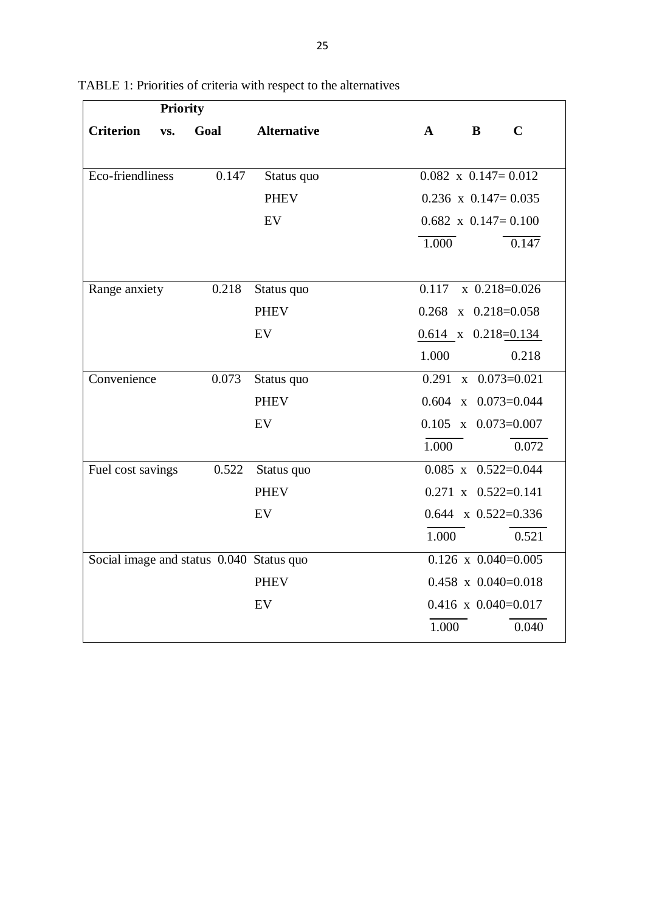| <b>Priority</b>                          |       |                    |                          |                              |
|------------------------------------------|-------|--------------------|--------------------------|------------------------------|
| <b>Criterion</b><br>VS.                  | Goal  | <b>Alternative</b> | $\bf{B}$<br>$\mathbf{A}$ | $\mathbf C$                  |
|                                          |       |                    |                          |                              |
| Eco-friendliness                         | 0.147 | Status quo         |                          | $0.082 \times 0.147 = 0.012$ |
|                                          |       | <b>PHEV</b>        |                          | $0.236 \times 0.147 = 0.035$ |
|                                          |       | EV                 |                          | $0.682 \times 0.147 = 0.100$ |
|                                          |       |                    | $\overline{1.000}$       | 0.147                        |
|                                          |       |                    |                          |                              |
| Range anxiety                            | 0.218 | Status quo         | 0.117                    | $\bar{x}$ 0.218=0.026        |
|                                          |       | <b>PHEV</b>        |                          | $0.268$ x $0.218=0.058$      |
|                                          |       | EV                 |                          | $0.614$ x $0.218=0.134$      |
|                                          |       |                    | 1.000                    | 0.218                        |
| Convenience                              | 0.073 | Status quo         |                          | $0.291 \times 0.073 = 0.021$ |
|                                          |       | <b>PHEV</b>        |                          | $0.604$ x $0.073=0.044$      |
|                                          |       | EV                 |                          | $0.105 \times 0.073 = 0.007$ |
|                                          |       |                    | 1.000                    | 0.072                        |
| Fuel cost savings                        | 0.522 | Status quo         |                          | $0.085$ x $0.522=0.044$      |
|                                          |       | <b>PHEV</b>        |                          | $0.271 \times 0.522 = 0.141$ |
|                                          |       | EV                 |                          | $0.644 \times 0.522 = 0.336$ |
|                                          |       |                    | 1.000                    | 0.521                        |
| Social image and status 0.040 Status quo |       |                    |                          | $0.126 \times 0.040 = 0.005$ |
|                                          |       | <b>PHEV</b>        |                          | $0.458 \times 0.040 = 0.018$ |
|                                          |       | EV                 |                          | $0.416 \times 0.040 = 0.017$ |
|                                          |       |                    | 1.000                    | 0.040                        |

TABLE 1: Priorities of criteria with respect to the alternatives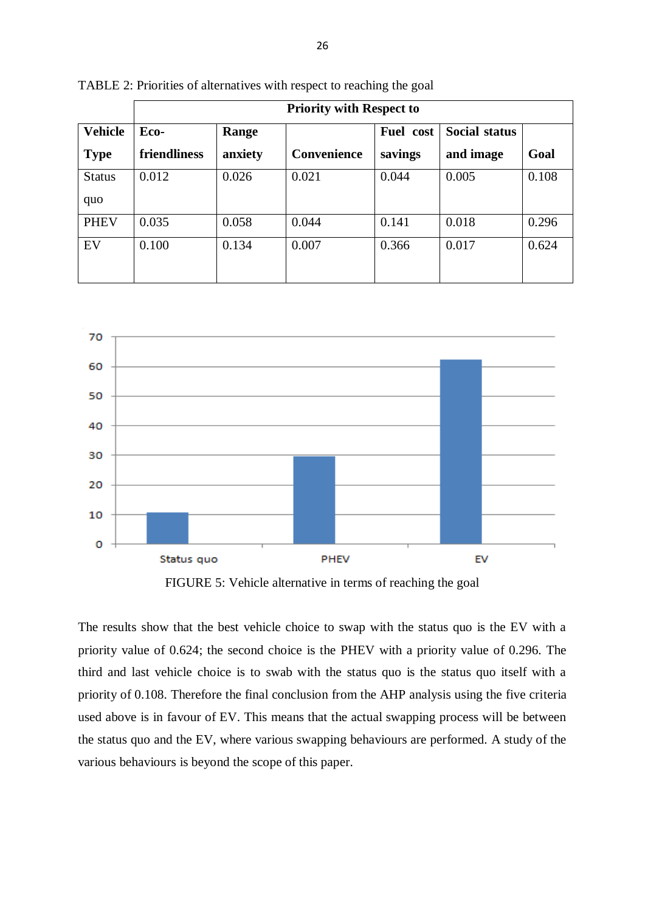|                | <b>Priority with Respect to</b> |         |                    |           |                      |       |
|----------------|---------------------------------|---------|--------------------|-----------|----------------------|-------|
| <b>Vehicle</b> | Eco-<br>Range                   |         |                    | Fuel cost | <b>Social status</b> |       |
| <b>Type</b>    | friendliness                    | anxiety | <b>Convenience</b> | savings   | and image            | Goal  |
| <b>Status</b>  | 0.012                           | 0.026   | 0.021              | 0.044     | 0.005                | 0.108 |
| quo            |                                 |         |                    |           |                      |       |
| <b>PHEV</b>    | 0.035                           | 0.058   | 0.044              | 0.141     | 0.018                | 0.296 |
| EV             | 0.100                           | 0.134   | 0.007              | 0.366     | 0.017                | 0.624 |
|                |                                 |         |                    |           |                      |       |

TABLE 2: Priorities of alternatives with respect to reaching the goal



FIGURE 5: Vehicle alternative in terms of reaching the goal

The results show that the best vehicle choice to swap with the status quo is the EV with a priority value of 0.624; the second choice is the PHEV with a priority value of 0.296. The third and last vehicle choice is to swab with the status quo is the status quo itself with a priority of 0.108. Therefore the final conclusion from the AHP analysis using the five criteria used above is in favour of EV. This means that the actual swapping process will be between the status quo and the EV, where various swapping behaviours are performed. A study of the various behaviours is beyond the scope of this paper.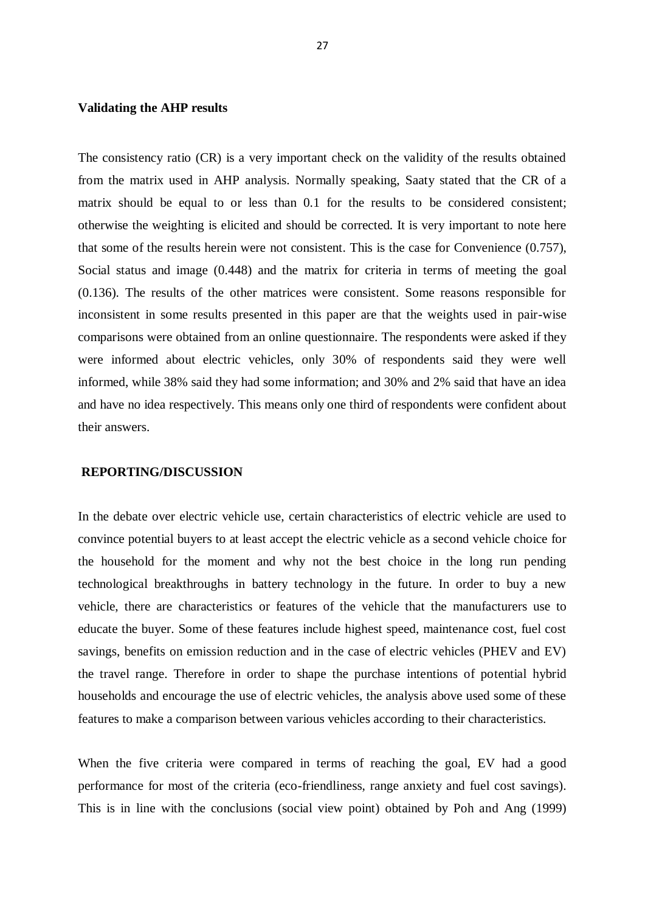#### **Validating the AHP results**

The consistency ratio (CR) is a very important check on the validity of the results obtained from the matrix used in AHP analysis. Normally speaking, Saaty stated that the CR of a matrix should be equal to or less than 0.1 for the results to be considered consistent; otherwise the weighting is elicited and should be corrected. It is very important to note here that some of the results herein were not consistent. This is the case for Convenience (0.757), Social status and image (0.448) and the matrix for criteria in terms of meeting the goal (0.136). The results of the other matrices were consistent. Some reasons responsible for inconsistent in some results presented in this paper are that the weights used in pair-wise comparisons were obtained from an online questionnaire. The respondents were asked if they were informed about electric vehicles, only 30% of respondents said they were well informed, while 38% said they had some information; and 30% and 2% said that have an idea and have no idea respectively. This means only one third of respondents were confident about their answers.

#### **REPORTING/DISCUSSION**

In the debate over electric vehicle use, certain characteristics of electric vehicle are used to convince potential buyers to at least accept the electric vehicle as a second vehicle choice for the household for the moment and why not the best choice in the long run pending technological breakthroughs in battery technology in the future. In order to buy a new vehicle, there are characteristics or features of the vehicle that the manufacturers use to educate the buyer. Some of these features include highest speed, maintenance cost, fuel cost savings, benefits on emission reduction and in the case of electric vehicles (PHEV and EV) the travel range. Therefore in order to shape the purchase intentions of potential hybrid households and encourage the use of electric vehicles, the analysis above used some of these features to make a comparison between various vehicles according to their characteristics.

When the five criteria were compared in terms of reaching the goal, EV had a good performance for most of the criteria (eco-friendliness, range anxiety and fuel cost savings). This is in line with the conclusions (social view point) obtained by Poh and Ang (1999)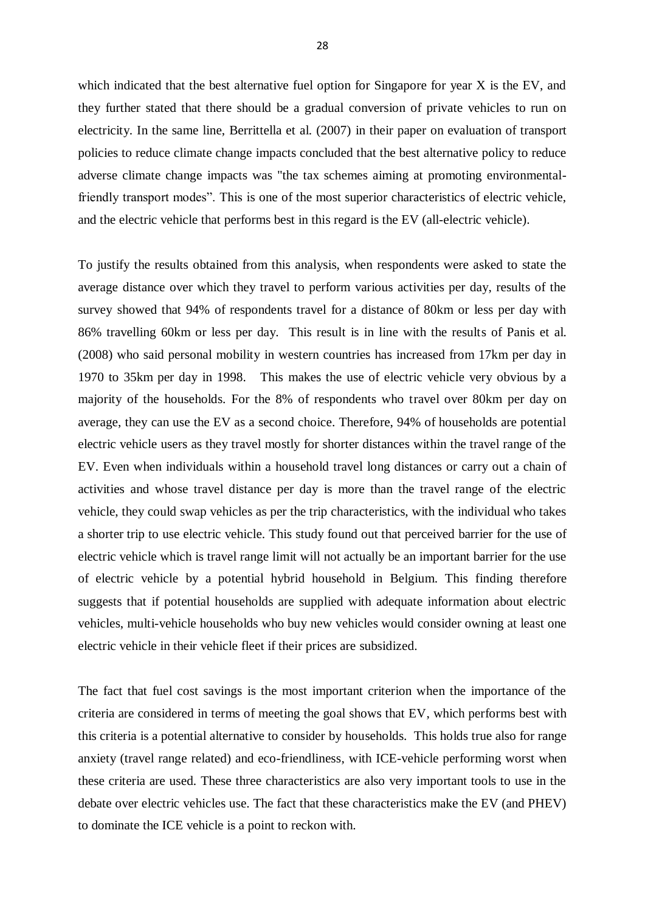which indicated that the best alternative fuel option for Singapore for year X is the EV, and they further stated that there should be a gradual conversion of private vehicles to run on electricity. In the same line, Berrittella et al. (2007) in their paper on evaluation of transport policies to reduce climate change impacts concluded that the best alternative policy to reduce adverse climate change impacts was "the tax schemes aiming at promoting environmentalfriendly transport modes". This is one of the most superior characteristics of electric vehicle, and the electric vehicle that performs best in this regard is the EV (all-electric vehicle).

To justify the results obtained from this analysis, when respondents were asked to state the average distance over which they travel to perform various activities per day, results of the survey showed that 94% of respondents travel for a distance of 80km or less per day with 86% travelling 60km or less per day. This result is in line with the results of Panis et al. (2008) who said personal mobility in western countries has increased from 17km per day in 1970 to 35km per day in 1998. This makes the use of electric vehicle very obvious by a majority of the households. For the 8% of respondents who travel over 80km per day on average, they can use the EV as a second choice. Therefore, 94% of households are potential electric vehicle users as they travel mostly for shorter distances within the travel range of the EV. Even when individuals within a household travel long distances or carry out a chain of activities and whose travel distance per day is more than the travel range of the electric vehicle, they could swap vehicles as per the trip characteristics, with the individual who takes a shorter trip to use electric vehicle. This study found out that perceived barrier for the use of electric vehicle which is travel range limit will not actually be an important barrier for the use of electric vehicle by a potential hybrid household in Belgium. This finding therefore suggests that if potential households are supplied with adequate information about electric vehicles, multi-vehicle households who buy new vehicles would consider owning at least one electric vehicle in their vehicle fleet if their prices are subsidized.

The fact that fuel cost savings is the most important criterion when the importance of the criteria are considered in terms of meeting the goal shows that EV, which performs best with this criteria is a potential alternative to consider by households. This holds true also for range anxiety (travel range related) and eco-friendliness, with ICE-vehicle performing worst when these criteria are used. These three characteristics are also very important tools to use in the debate over electric vehicles use. The fact that these characteristics make the EV (and PHEV) to dominate the ICE vehicle is a point to reckon with.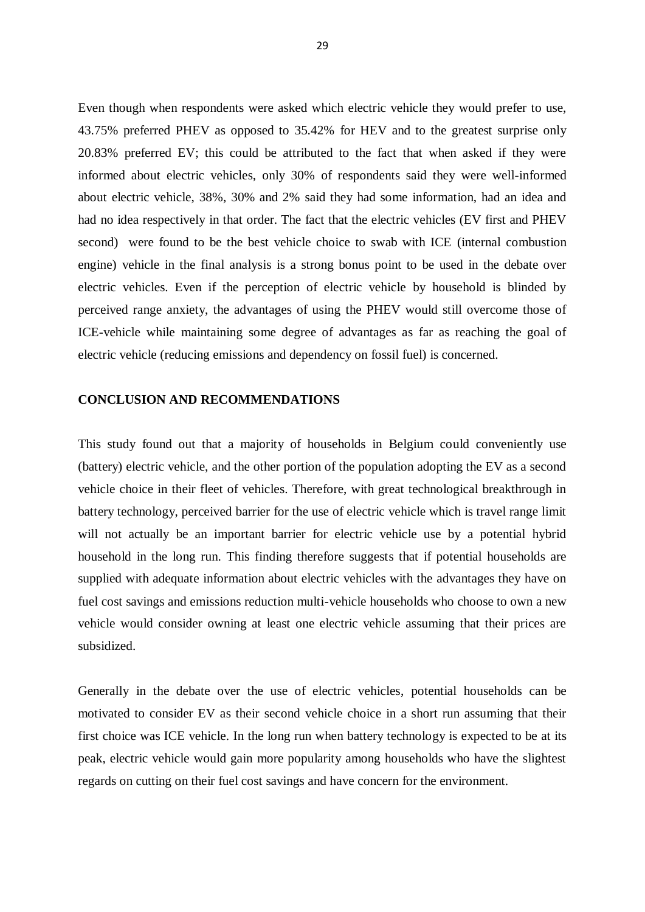Even though when respondents were asked which electric vehicle they would prefer to use, 43.75% preferred PHEV as opposed to 35.42% for HEV and to the greatest surprise only 20.83% preferred EV; this could be attributed to the fact that when asked if they were informed about electric vehicles, only 30% of respondents said they were well-informed about electric vehicle, 38%, 30% and 2% said they had some information, had an idea and had no idea respectively in that order. The fact that the electric vehicles (EV first and PHEV second) were found to be the best vehicle choice to swab with ICE (internal combustion engine) vehicle in the final analysis is a strong bonus point to be used in the debate over electric vehicles. Even if the perception of electric vehicle by household is blinded by perceived range anxiety, the advantages of using the PHEV would still overcome those of ICE-vehicle while maintaining some degree of advantages as far as reaching the goal of electric vehicle (reducing emissions and dependency on fossil fuel) is concerned.

#### **CONCLUSION AND RECOMMENDATIONS**

This study found out that a majority of households in Belgium could conveniently use (battery) electric vehicle, and the other portion of the population adopting the EV as a second vehicle choice in their fleet of vehicles. Therefore, with great technological breakthrough in battery technology, perceived barrier for the use of electric vehicle which is travel range limit will not actually be an important barrier for electric vehicle use by a potential hybrid household in the long run. This finding therefore suggests that if potential households are supplied with adequate information about electric vehicles with the advantages they have on fuel cost savings and emissions reduction multi-vehicle households who choose to own a new vehicle would consider owning at least one electric vehicle assuming that their prices are subsidized.

Generally in the debate over the use of electric vehicles, potential households can be motivated to consider EV as their second vehicle choice in a short run assuming that their first choice was ICE vehicle. In the long run when battery technology is expected to be at its peak, electric vehicle would gain more popularity among households who have the slightest regards on cutting on their fuel cost savings and have concern for the environment.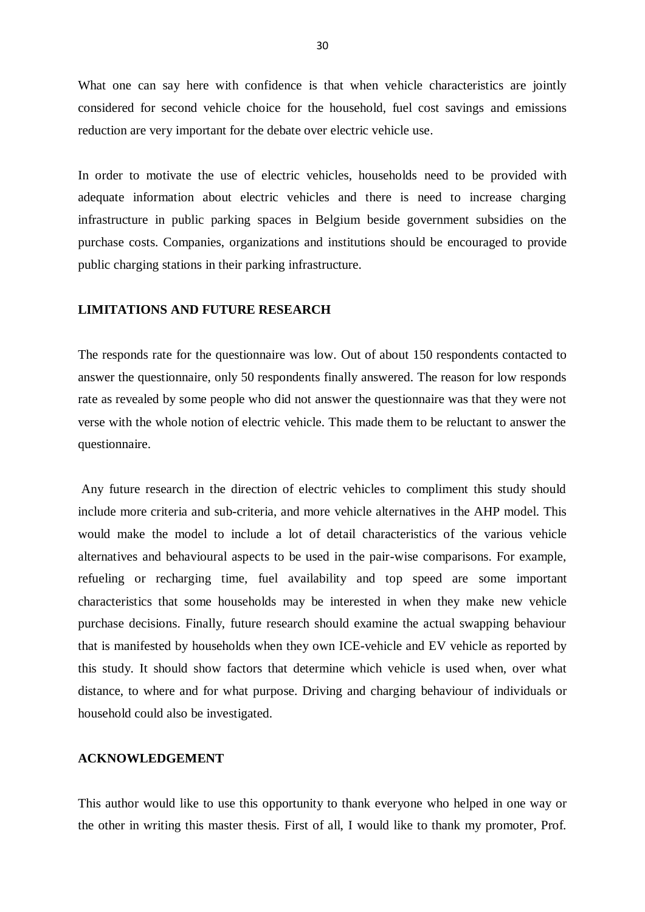What one can say here with confidence is that when vehicle characteristics are jointly considered for second vehicle choice for the household, fuel cost savings and emissions reduction are very important for the debate over electric vehicle use.

In order to motivate the use of electric vehicles, households need to be provided with adequate information about electric vehicles and there is need to increase charging infrastructure in public parking spaces in Belgium beside government subsidies on the purchase costs. Companies, organizations and institutions should be encouraged to provide public charging stations in their parking infrastructure.

#### **LIMITATIONS AND FUTURE RESEARCH**

The responds rate for the questionnaire was low. Out of about 150 respondents contacted to answer the questionnaire, only 50 respondents finally answered. The reason for low responds rate as revealed by some people who did not answer the questionnaire was that they were not verse with the whole notion of electric vehicle. This made them to be reluctant to answer the questionnaire.

Any future research in the direction of electric vehicles to compliment this study should include more criteria and sub-criteria, and more vehicle alternatives in the AHP model. This would make the model to include a lot of detail characteristics of the various vehicle alternatives and behavioural aspects to be used in the pair-wise comparisons. For example, refueling or recharging time, fuel availability and top speed are some important characteristics that some households may be interested in when they make new vehicle purchase decisions. Finally, future research should examine the actual swapping behaviour that is manifested by households when they own ICE-vehicle and EV vehicle as reported by this study. It should show factors that determine which vehicle is used when, over what distance, to where and for what purpose. Driving and charging behaviour of individuals or household could also be investigated.

#### **ACKNOWLEDGEMENT**

This author would like to use this opportunity to thank everyone who helped in one way or the other in writing this master thesis. First of all, I would like to thank my promoter, Prof.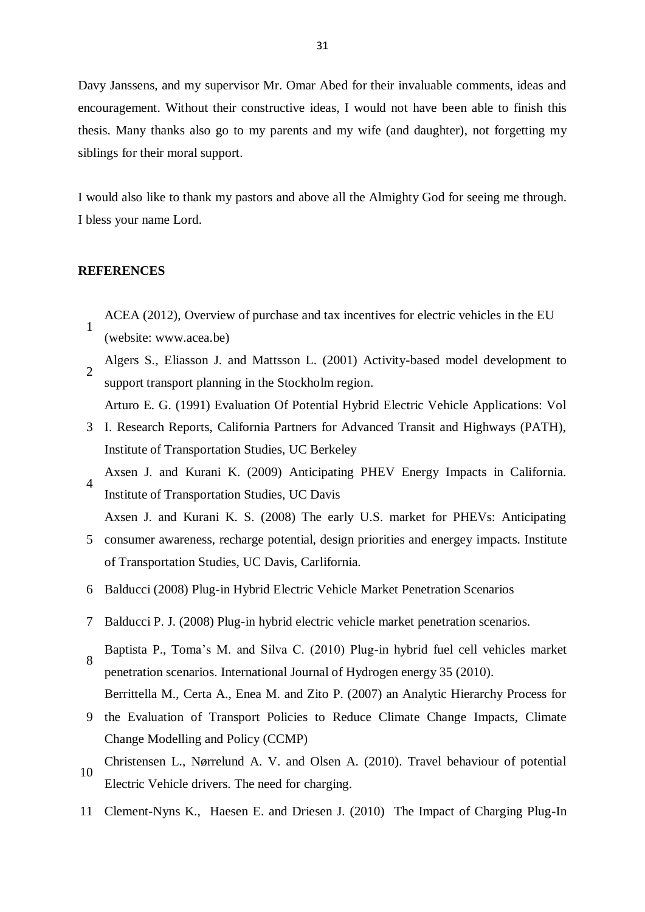Davy Janssens, and my supervisor Mr. Omar Abed for their invaluable comments, ideas and encouragement. Without their constructive ideas, I would not have been able to finish this thesis. Many thanks also go to my parents and my wife (and daughter), not forgetting my siblings for their moral support.

I would also like to thank my pastors and above all the Almighty God for seeing me through. I bless your name Lord.

#### **REFERENCES**

- 1 ACEA (2012), Overview of purchase and tax incentives for electric vehicles in the EU (website: www.acea.be)
- 2 Algers S., Eliasson J. and Mattsson L. (2001) Activity-based model development to support transport planning in the Stockholm region. Arturo E. G. (1991) Evaluation Of Potential Hybrid Electric Vehicle Applications: Vol
- 3 I. Research Reports, California Partners for Advanced Transit and Highways (PATH), Institute of Transportation Studies, UC Berkeley
- 4 Axsen J. and Kurani K. (2009) Anticipating PHEV Energy Impacts in California. Institute of Transportation Studies, UC Davis

Axsen J. and Kurani K. S. (2008) The early U.S. market for PHEVs: Anticipating

- 5 consumer awareness, recharge potential, design priorities and energey impacts. Institute of Transportation Studies, UC Davis, Carlifornia.
- 6 Balducci (2008) Plug-in Hybrid Electric Vehicle Market Penetration Scenarios
- 7 Balducci P. J. (2008) Plug-in hybrid electric vehicle market penetration scenarios.
- 8 Baptista P., Toma's M. and Silva C. (2010) Plug-in hybrid fuel cell vehicles market penetration scenarios. International Journal of Hydrogen energy 35 (2010). Berrittella M., Certa A., Enea M. and Zito P. (2007) an Analytic Hierarchy Process for
- 9 the Evaluation of Transport Policies to Reduce Climate Change Impacts, Climate Change Modelling and Policy (CCMP)
- 10 Christensen L., Nørrelund A. V. and Olsen A. (2010). Travel behaviour of potential Electric Vehicle drivers. The need for charging.
- 11 Clement-Nyns K., Haesen E. and Driesen J. (2010) The Impact of Charging Plug-In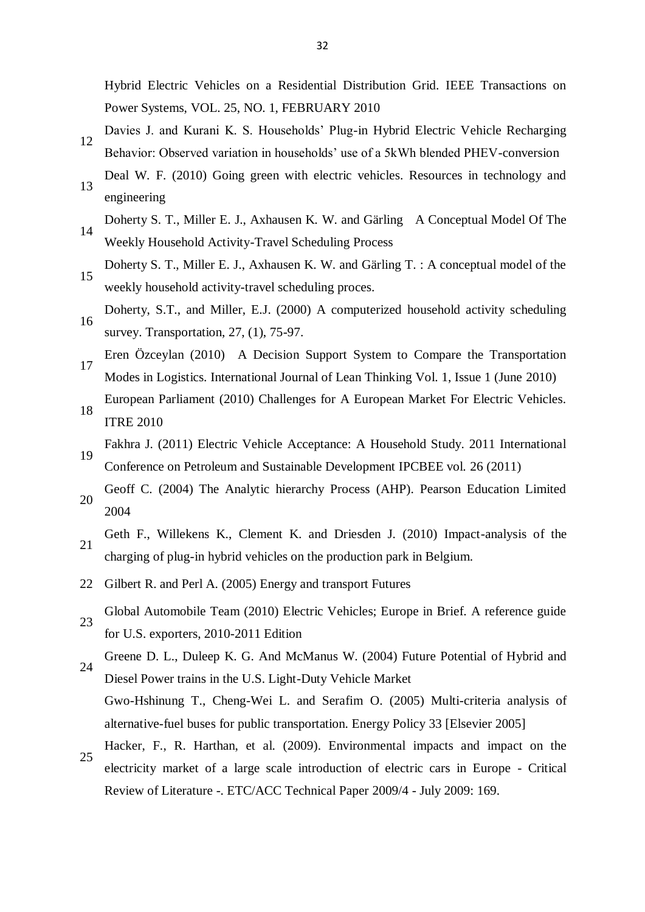Hybrid Electric Vehicles on a Residential Distribution Grid. IEEE Transactions on Power Systems, VOL. 25, NO. 1, FEBRUARY 2010

- 12 Davies J. and Kurani K. S. Households' Plug-in Hybrid Electric Vehicle Recharging Behavior: Observed variation in households' use of a 5kWh blended PHEV-conversion
- 13 Deal W. F. (2010) Going green with electric vehicles. Resources in technology and engineering
- 14 Doherty S. T., Miller E. J., Axhausen K. W. and Gärling A Conceptual Model Of The Weekly Household Activity-Travel Scheduling Process
- 15 Doherty S. T., Miller E. J., Axhausen K. W. and Gärling T. : A conceptual model of the weekly household activity-travel scheduling proces.
- 16 Doherty, S.T., and Miller, E.J. (2000) A computerized household activity scheduling survey. Transportation, 27, (1), 75-97.
- 17 Eren Özceylan (2010) A Decision Support System to Compare the Transportation Modes in Logistics. International Journal of Lean Thinking Vol. 1, Issue 1 (June 2010)
- 18 European Parliament (2010) Challenges for A European Market For Electric Vehicles. ITRE 2010
- 19 Fakhra J. (2011) Electric Vehicle Acceptance: A Household Study. 2011 International Conference on Petroleum and Sustainable Development IPCBEE vol. 26 (2011)
- 20 Geoff C. (2004) The Analytic hierarchy Process (AHP). Pearson Education Limited 2004
- 21 Geth F., Willekens K., Clement K. and Driesden J. (2010) Impact-analysis of the charging of plug-in hybrid vehicles on the production park in Belgium.
- 22 Gilbert R. and Perl A. (2005) Energy and transport Futures
- 23 Global Automobile Team (2010) Electric Vehicles; Europe in Brief. A reference guide for U.S. exporters, 2010-2011 Edition
- 24 Greene D. L., Duleep K. G. And McManus W. (2004) Future Potential of Hybrid and
- Diesel Power trains in the U.S. Light-Duty Vehicle Market Gwo-Hshinung T., Cheng-Wei L. and Serafim O. (2005) Multi-criteria analysis of alternative-fuel buses for public transportation. Energy Policy 33 [Elsevier 2005]
- 25 Hacker, F., R. Harthan, et al. (2009). Environmental impacts and impact on the electricity market of a large scale introduction of electric cars in Europe - Critical Review of Literature -. ETC/ACC Technical Paper 2009/4 - July 2009: 169.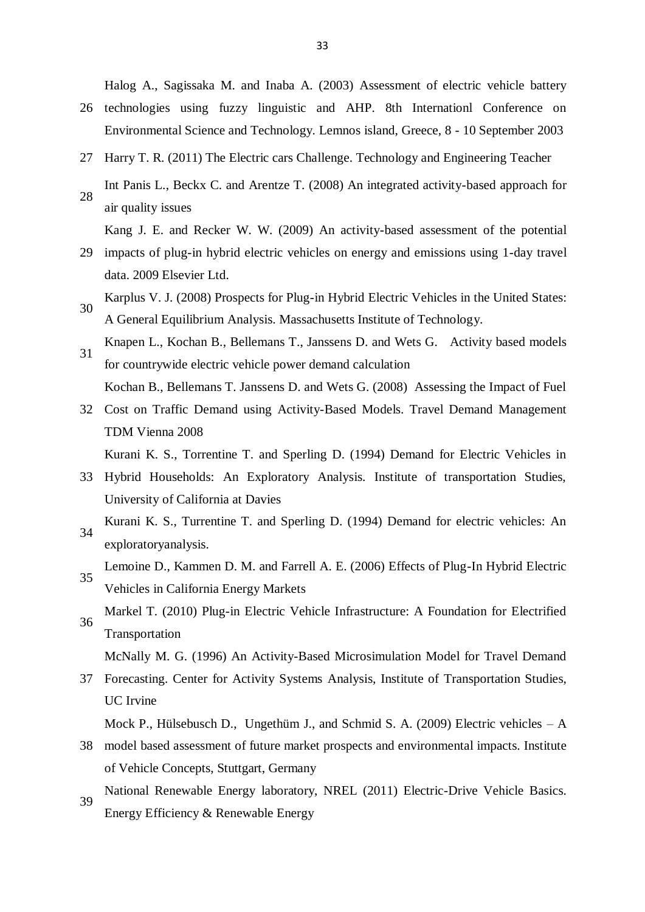Halog A., Sagissaka M. and Inaba A. (2003) Assessment of electric vehicle battery

- 26 technologies using fuzzy linguistic and AHP. 8th Internationl Conference on Environmental Science and Technology. Lemnos island, Greece, 8 - 10 September 2003
- 27 Harry T. R. (2011) The Electric cars Challenge. Technology and Engineering Teacher Int Panis L., Beckx C. and Arentze T. (2008) An integrated activity-based approach for
- 28 air quality issues Kang J. E. and Recker W. W. (2009) An activity-based assessment of the potential
- 29 impacts of plug-in hybrid electric vehicles on energy and emissions using 1-day travel data. 2009 Elsevier Ltd.
- 30 Karplus V. J. (2008) Prospects for Plug-in Hybrid Electric Vehicles in the United States: A General Equilibrium Analysis. Massachusetts Institute of Technology.
- 31 Knapen L., Kochan B., Bellemans T., Janssens D. and Wets G. Activity based models for countrywide electric vehicle power demand calculation Kochan B., Bellemans T. Janssens D. and Wets G. (2008) Assessing the Impact of Fuel
- 32 Cost on Traffic Demand using Activity-Based Models. Travel Demand Management TDM Vienna 2008

Kurani K. S., Torrentine T. and Sperling D. (1994) Demand for Electric Vehicles in

- 33 Hybrid Households: An Exploratory Analysis. Institute of transportation Studies, University of California at Davies
- 34 Kurani K. S., Turrentine T. and Sperling D. (1994) Demand for electric vehicles: An exploratoryanalysis.
- 35 Lemoine D., Kammen D. M. and Farrell A. E. (2006) Effects of Plug-In Hybrid Electric Vehicles in California Energy Markets
- 36 Markel T. (2010) Plug-in Electric Vehicle Infrastructure: A Foundation for Electrified Transportation

McNally M. G. (1996) An Activity-Based Microsimulation Model for Travel Demand

37 Forecasting. Center for Activity Systems Analysis, Institute of Transportation Studies, UC Irvine

Mock P., Hülsebusch D., Ungethüm J., and Schmid S. A. (2009) Electric vehicles  $-A$ 

- 38 model based assessment of future market prospects and environmental impacts. Institute of Vehicle Concepts, Stuttgart, Germany
- 39 National Renewable Energy laboratory, NREL (2011) Electric-Drive Vehicle Basics. Energy Efficiency & Renewable Energy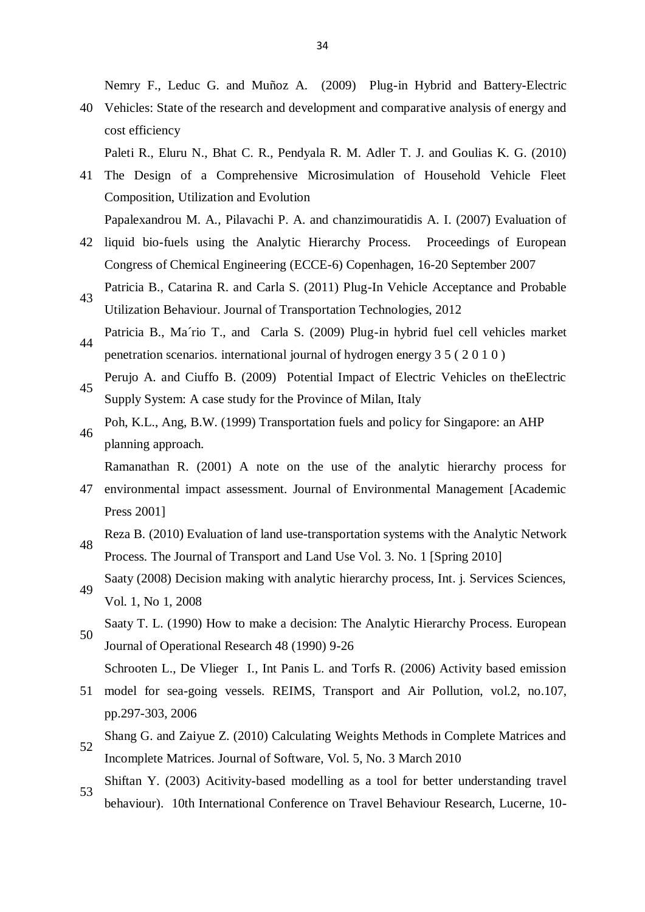Nemry F., Leduc G. and Muñoz A. (2009) Plug-in Hybrid and Battery-Electric

40 Vehicles: State of the research and development and comparative analysis of energy and cost efficiency

Paleti R., Eluru N., Bhat C. R., Pendyala R. M. Adler T. J. and Goulias K. G. (2010)

41 The Design of a Comprehensive Microsimulation of Household Vehicle Fleet Composition, Utilization and Evolution

Papalexandrou M. A., Pilavachi P. A. and chanzimouratidis A. I. (2007) Evaluation of

- 42 liquid bio-fuels using the Analytic Hierarchy Process. Proceedings of European Congress of Chemical Engineering (ECCE-6) Copenhagen, 16-20 September 2007
- 43 Patricia B., Catarina R. and Carla S. (2011) Plug-In Vehicle Acceptance and Probable Utilization Behaviour. Journal of Transportation Technologies, 2012
- 44 Patricia B., Ma´rio T., and Carla S. (2009) Plug-in hybrid fuel cell vehicles market penetration scenarios. international journal of hydrogen energy 3 5 ( 2 0 1 0 )
- 45 Perujo A. and Ciuffo B. (2009) Potential Impact of Electric Vehicles on theElectric Supply System: A case study for the Province of Milan, Italy
- 46 Poh, K.L., Ang, B.W. (1999) Transportation fuels and policy for Singapore: an AHP planning approach.

Ramanathan R. (2001) A note on the use of the analytic hierarchy process for

- 47 environmental impact assessment. Journal of Environmental Management [Academic Press 2001]
- 48 Reza B. (2010) Evaluation of land use-transportation systems with the Analytic Network Process. The Journal of Transport and Land Use Vol. 3. No. 1 [Spring 2010]
- 49 Saaty (2008) Decision making with analytic hierarchy process, Int. j. Services Sciences, Vol. 1, No 1, 2008
- 50 Saaty T. L. (1990) How to make a decision: The Analytic Hierarchy Process. European Journal of Operational Research 48 (1990) 9-26

Schrooten L., De Vlieger I., Int Panis L. and Torfs R. (2006) Activity based emission

- 51 model for sea-going vessels. REIMS, Transport and Air Pollution, vol.2, no.107, pp.297-303, 2006
- 52 Shang G. and Zaiyue Z. (2010) Calculating Weights Methods in Complete Matrices and
- Incomplete Matrices. Journal of Software, Vol. 5, No. 3 March 2010
- 53 Shiftan Y. (2003) Acitivity-based modelling as a tool for better understanding travel behaviour). 10th International Conference on Travel Behaviour Research, Lucerne, 10-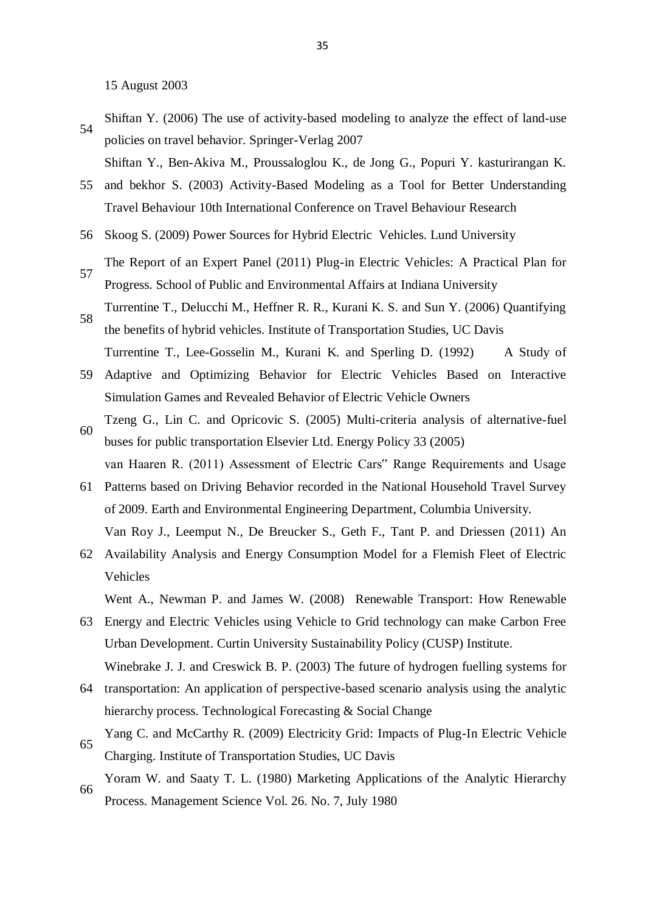15 August 2003

- 54 Shiftan Y. (2006) The use of activity-based modeling to analyze the effect of land-use policies on travel behavior. Springer-Verlag 2007
	- Shiftan Y., Ben-Akiva M., Proussaloglou K., de Jong G., Popuri Y. kasturirangan K.
- 55 and bekhor S. (2003) Activity-Based Modeling as a Tool for Better Understanding Travel Behaviour 10th International Conference on Travel Behaviour Research
- 56 Skoog S. (2009) Power Sources for Hybrid Electric Vehicles. Lund University
- 57 The Report of an Expert Panel (2011) Plug-in Electric Vehicles: A Practical Plan for Progress. School of Public and Environmental Affairs at Indiana University
- 58 Turrentine T., Delucchi M., Heffner R. R., Kurani K. S. and Sun Y. (2006) Quantifying the benefits of hybrid vehicles. Institute of Transportation Studies, UC Davis
- 59 Adaptive and Optimizing Behavior for Electric Vehicles Based on Interactive Turrentine T., Lee-Gosselin M., Kurani K. and Sperling D. (1992) A Study of Simulation Games and Revealed Behavior of Electric Vehicle Owners
- 60 Tzeng G., Lin C. and Opricovic S. (2005) Multi-criteria analysis of alternative-fuel buses for public transportation Elsevier Ltd. Energy Policy 33 (2005)

- 61 Patterns based on Driving Behavior recorded in the National Household Travel Survey of 2009. Earth and Environmental Engineering Department, Columbia University. Van Roy J., Leemput N., De Breucker S., Geth F., Tant P. and Driessen (2011) An
- 62 Availability Analysis and Energy Consumption Model for a Flemish Fleet of Electric Vehicles

Went A., Newman P. and James W. (2008) Renewable Transport: How Renewable

- 63 Energy and Electric Vehicles using Vehicle to Grid technology can make Carbon Free Urban Development. Curtin University Sustainability Policy (CUSP) Institute. Winebrake J. J. and Creswick B. P. (2003) The future of hydrogen fuelling systems for
- 64 transportation: An application of perspective-based scenario analysis using the analytic hierarchy process. Technological Forecasting & Social Change
- 65 Yang C. and McCarthy R. (2009) Electricity Grid: Impacts of Plug-In Electric Vehicle Charging. Institute of Transportation Studies, UC Davis
- 66 Yoram W. and Saaty T. L. (1980) Marketing Applications of the Analytic Hierarchy Process. Management Science Vol. 26. No. 7, July 1980

van Haaren R. (2011) Assessment of Electric Cars" Range Requirements and Usage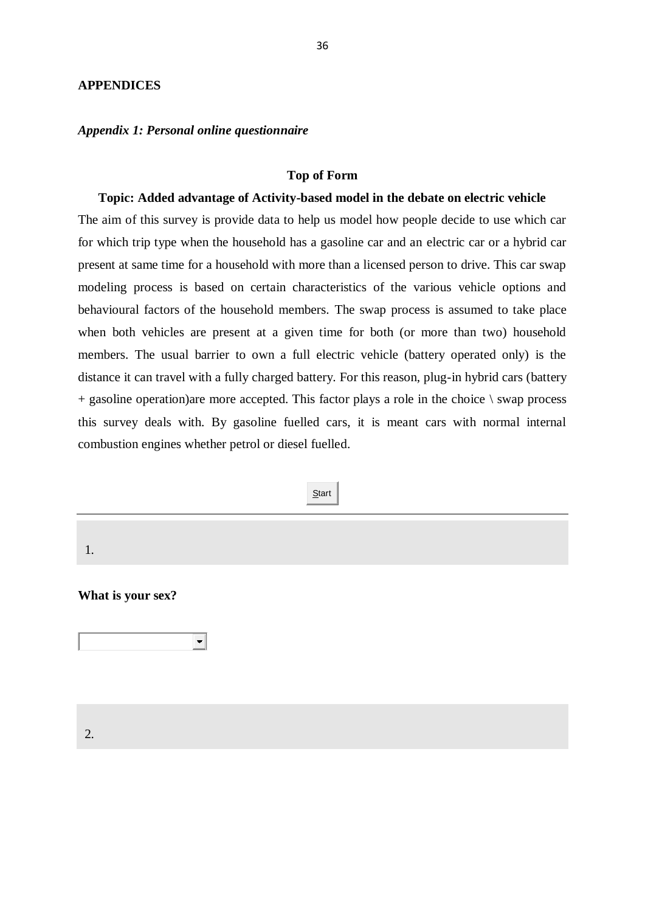#### **APPENDICES**

#### *Appendix 1: Personal online questionnaire*

#### **Top of Form**

#### **Topic: Added advantage of Activity-based model in the debate on electric vehicle**

The aim of this survey is provide data to help us model how people decide to use which car for which trip type when the household has a gasoline car and an electric car or a hybrid car present at same time for a household with more than a licensed person to drive. This car swap modeling process is based on certain characteristics of the various vehicle options and behavioural factors of the household members. The swap process is assumed to take place when both vehicles are present at a given time for both (or more than two) household members. The usual barrier to own a full electric vehicle (battery operated only) is the distance it can travel with a fully charged battery. For this reason, plug-in hybrid cars (battery  $+$  gasoline operation)are more accepted. This factor plays a role in the choice  $\setminus$  swap process this survey deals with. By gasoline fuelled cars, it is meant cars with normal internal combustion engines whether petrol or diesel fuelled.

**Start**  1. **What is your sex?**  $\left| \cdot \right|$ 2.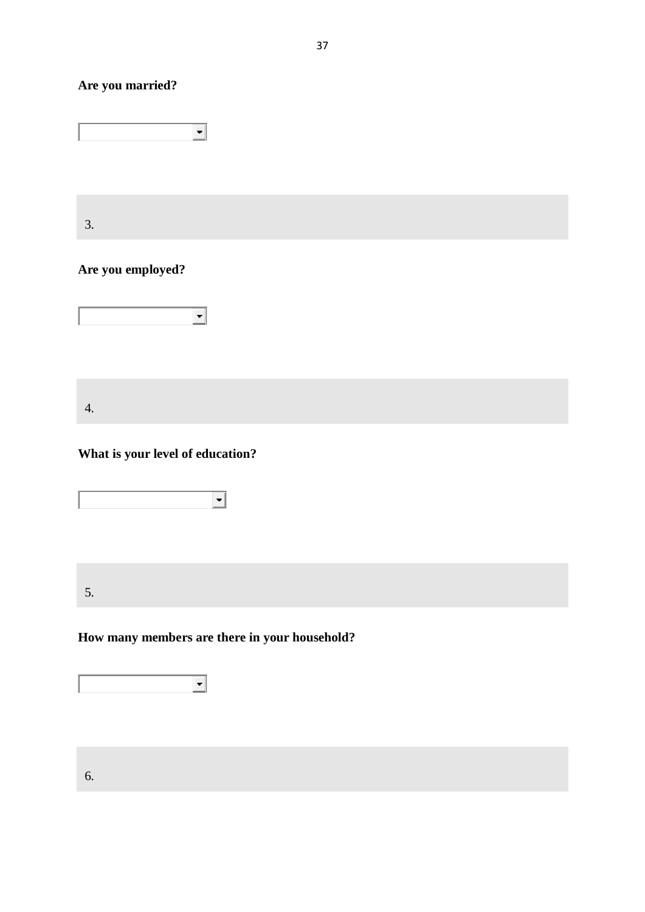## **Are you married?**

 $\overline{\Xi}$ 

3.

## **Are you employed?**



4.

## **What is your level of education?**



5.

## **How many members are there in your household?**

 $\overline{\mathbf{E}}$ 

6.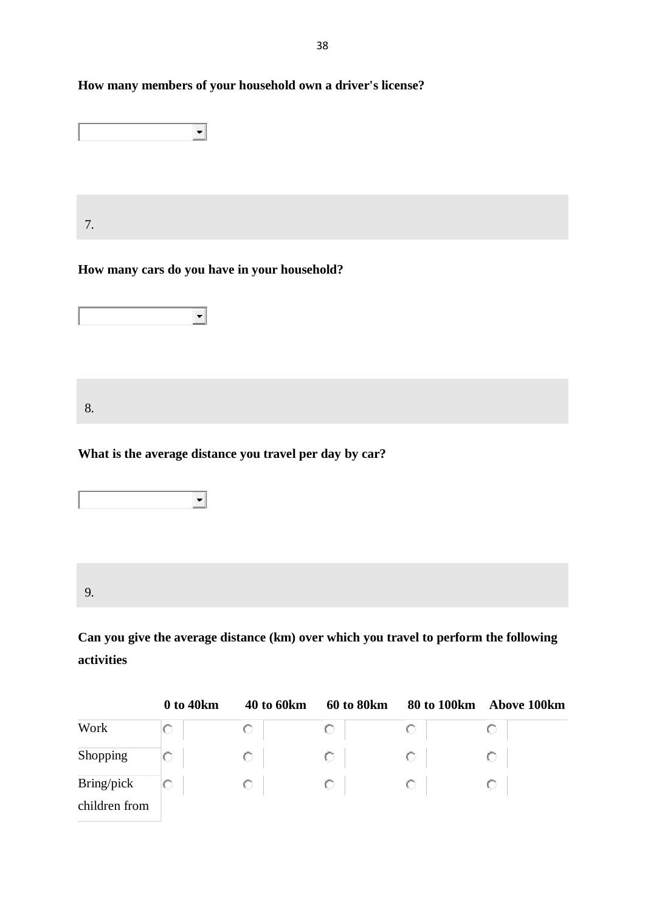## **How many members of your household own a driver's license?**

| 7. |                                                                          |  |
|----|--------------------------------------------------------------------------|--|
|    | How many cars do you have in your household?<br>$\overline{\phantom{a}}$ |  |
| 8. |                                                                          |  |
|    | What is the average distance you travel per day by car?                  |  |



9.

**Can you give the average distance (km) over which you travel to perform the following activities**

|               | 0 to 40km | 40 to 60km | 60 to 80km | 80 to 100km | <b>Above 100km</b> |
|---------------|-----------|------------|------------|-------------|--------------------|
| Work          |           |            | O          |             |                    |
| Shopping      |           | O          | O          |             |                    |
| Bring/pick    |           | O          | O          |             |                    |
| children from |           |            |            |             |                    |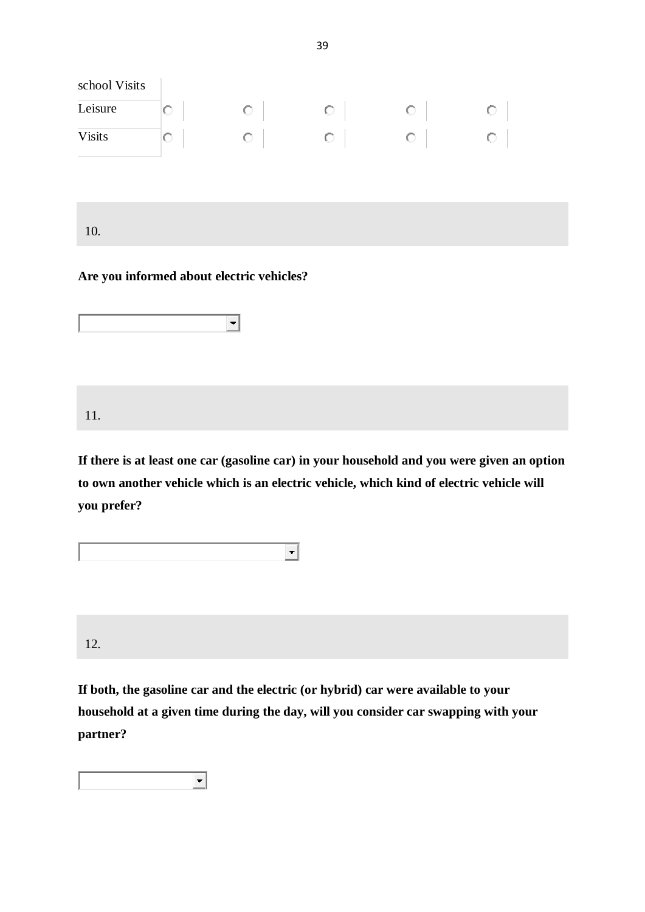| school Visits |    |  |  |
|---------------|----|--|--|
| Leisure       | U  |  |  |
| <b>Visits</b> | K. |  |  |

10.

#### **Are you informed about electric vehicles?**

|--|

11.

**If there is at least one car (gasoline car) in your household and you were given an option to own another vehicle which is an electric vehicle, which kind of electric vehicle will you prefer?**

 $\overline{\phantom{a}}$ 12.

**If both, the gasoline car and the electric (or hybrid) car were available to your household at a given time during the day, will you consider car swapping with your partner?**

 $\left| \cdot \right|$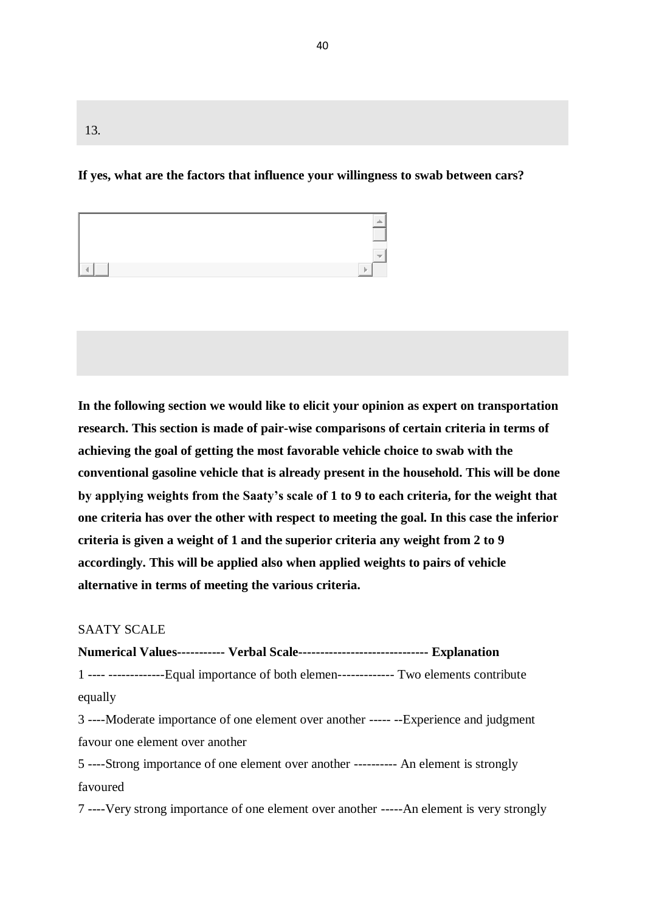#### 13.

#### **If yes, what are the factors that influence your willingness to swab between cars?**

| . |  |
|---|--|

**In the following section we would like to elicit your opinion as expert on transportation research. This section is made of pair-wise comparisons of certain criteria in terms of achieving the goal of getting the most favorable vehicle choice to swab with the conventional gasoline vehicle that is already present in the household. This will be done by applying weights from the Saaty's scale of 1 to 9 to each criteria, for the weight that one criteria has over the other with respect to meeting the goal. In this case the inferior criteria is given a weight of 1 and the superior criteria any weight from 2 to 9 accordingly. This will be applied also when applied weights to pairs of vehicle alternative in terms of meeting the various criteria.**

#### SAATY SCALE

#### **Numerical Values----------- Verbal Scale------------------------------ Explanation**

1 ---- -------------Equal importance of both elemen------------- Two elements contribute equally

3 ----Moderate importance of one element over another ----- --Experience and judgment favour one element over another

5 ----Strong importance of one element over another ---------- An element is strongly favoured

7 ----Very strong importance of one element over another -----An element is very strongly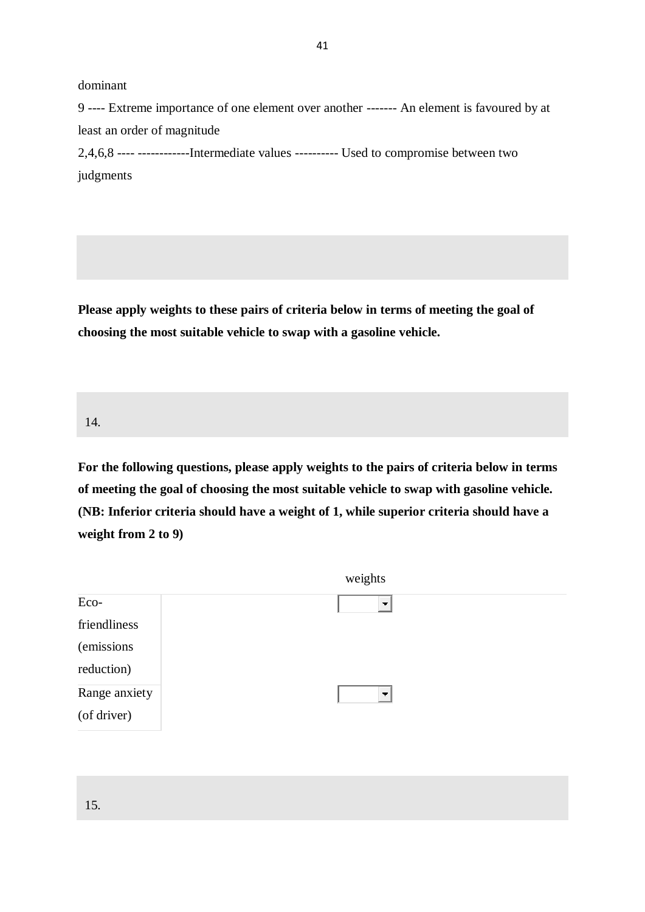dominant

9 ---- Extreme importance of one element over another ------- An element is favoured by at least an order of magnitude 2,4,6,8 ---- ------------Intermediate values ---------- Used to compromise between two judgments

41

**Please apply weights to these pairs of criteria below in terms of meeting the goal of choosing the most suitable vehicle to swap with a gasoline vehicle.**

14.

**For the following questions, please apply weights to the pairs of criteria below in terms of meeting the goal of choosing the most suitable vehicle to swap with gasoline vehicle. (NB: Inferior criteria should have a weight of 1, while superior criteria should have a weight from 2 to 9)**

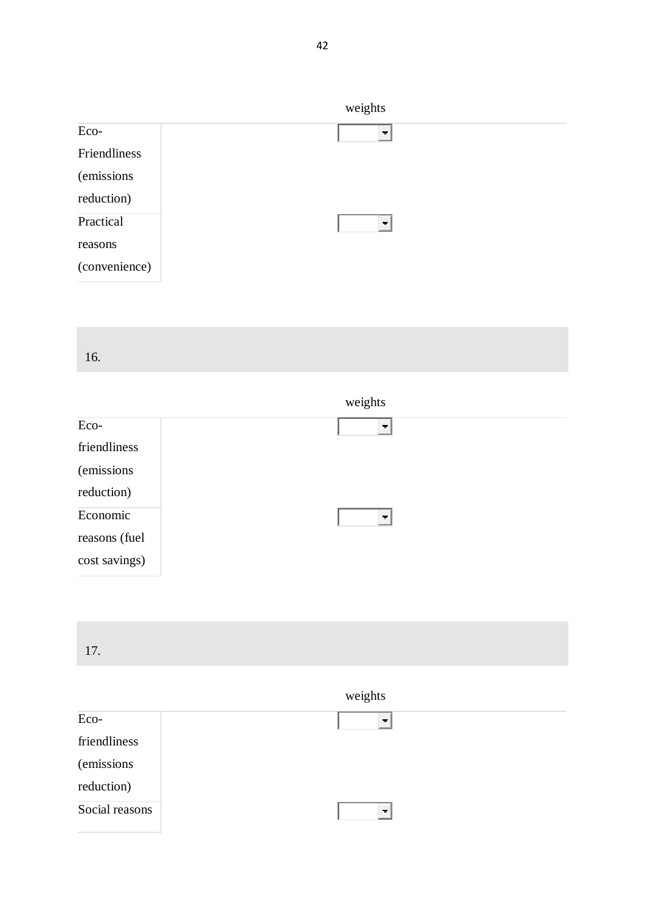| weights                  |
|--------------------------|
| $\overline{\phantom{a}}$ |
|                          |
|                          |
|                          |
| $\blacksquare$           |
|                          |
|                          |
|                          |

| 16. |  |  |
|-----|--|--|
|     |  |  |
|     |  |  |
|     |  |  |

|               | weights                  |
|---------------|--------------------------|
| Eco-          | $\overline{\phantom{a}}$ |
| friendliness  |                          |
| (emissions)   |                          |
| reduction)    |                          |
| Economic      | $\overline{\phantom{a}}$ |
| reasons (fuel |                          |
| cost savings) |                          |



## weights

| Eco-           | $\overline{\phantom{a}}$ |
|----------------|--------------------------|
| friendliness   |                          |
| (emissions)    |                          |
| reduction)     |                          |
| Social reasons | $\blacksquare$           |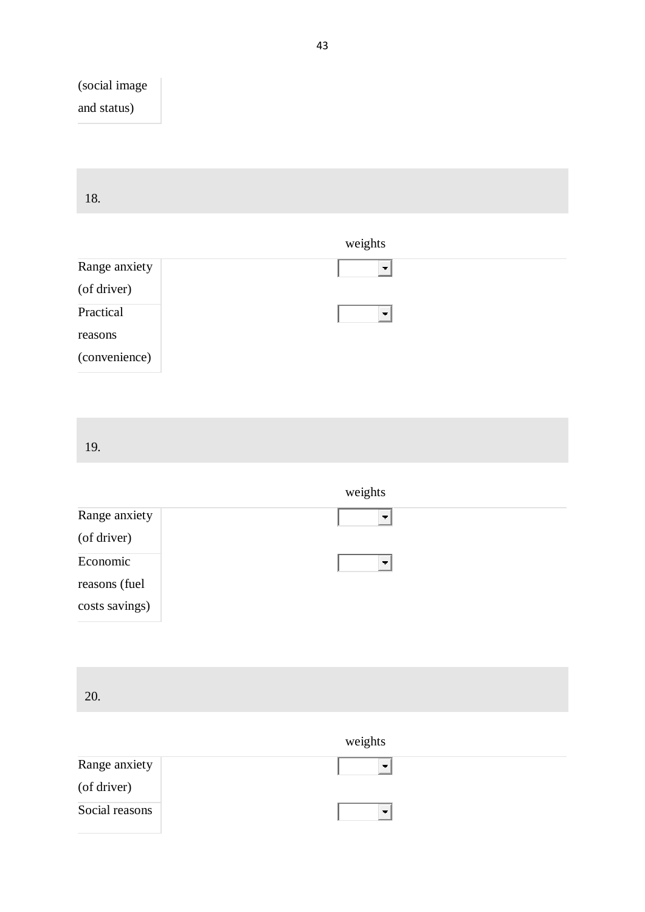## (social image and status)

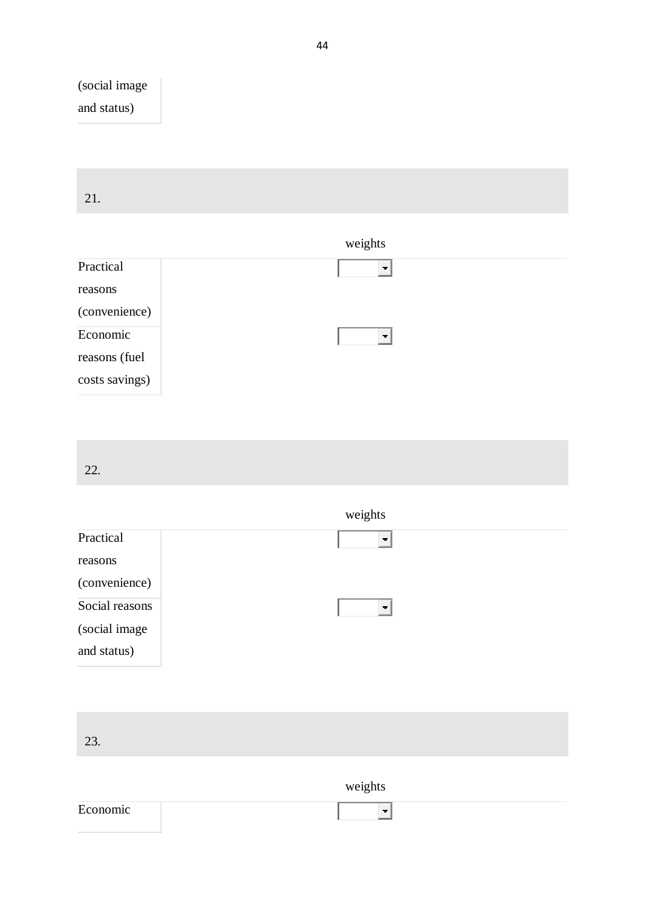## (social image and status)

| 21. |  |  |  |
|-----|--|--|--|

## weights

| Practical      |                          |
|----------------|--------------------------|
| reasons        |                          |
| (convenience)  |                          |
| Economic       | $\overline{\phantom{a}}$ |
| reasons (fuel  |                          |
| costs savings) |                          |

22.

|                | weights                  |
|----------------|--------------------------|
| Practical      | $\overline{\phantom{a}}$ |
| reasons        |                          |
| (convenience)  |                          |
| Social reasons |                          |
| (social image  |                          |
| and status)    |                          |
|                |                          |
|                |                          |
|                |                          |

23.

weights

| ┳ |  |
|---|--|
|   |  |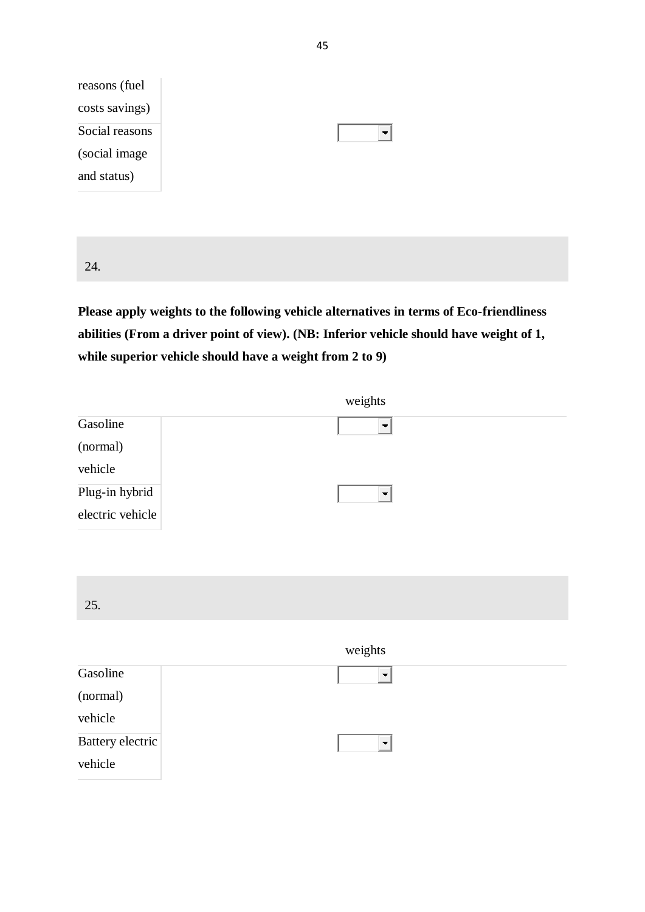

24.

**Please apply weights to the following vehicle alternatives in terms of Eco-friendliness abilities (From a driver point of view). (NB: Inferior vehicle should have weight of 1, while superior vehicle should have a weight from 2 to 9)**

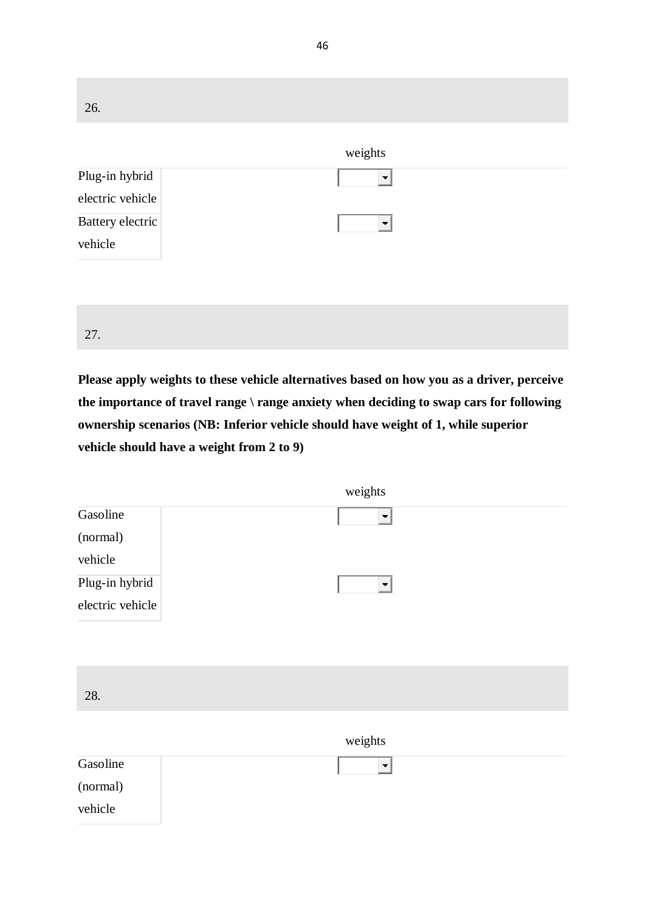| 26.                                |                          |
|------------------------------------|--------------------------|
|                                    | weights                  |
| Plug-in hybrid<br>electric vehicle | $\overline{\phantom{a}}$ |
| Battery electric<br>vehicle        | $\overline{\phantom{a}}$ |
|                                    |                          |
| 27.                                |                          |

**Please apply weights to these vehicle alternatives based on how you as a driver, perceive the importance of travel range \ range anxiety when deciding to swap cars for following ownership scenarios (NB: Inferior vehicle should have weight of 1, while superior vehicle should have a weight from 2 to 9)**

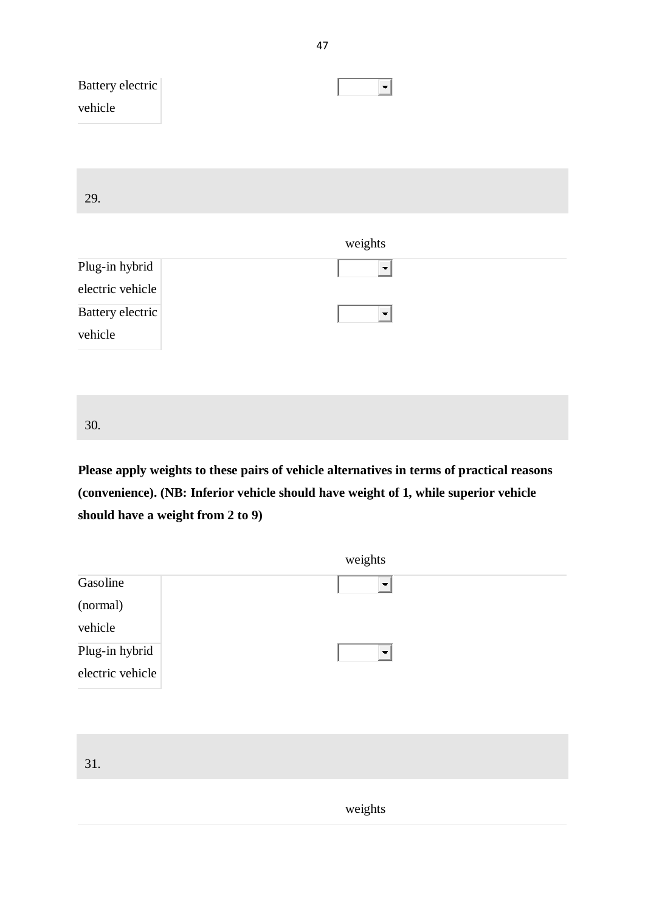| Battery electric<br>vehicle        | $\blacksquare$      |
|------------------------------------|---------------------|
| 29.                                |                     |
|                                    | weights             |
| Plug-in hybrid<br>electric vehicle | ▼                   |
| Battery electric<br>vehicle        | $\vert \cdot \vert$ |
|                                    |                     |
| 30.                                |                     |

**Please apply weights to these pairs of vehicle alternatives in terms of practical reasons (convenience). (NB: Inferior vehicle should have weight of 1, while superior vehicle should have a weight from 2 to 9)**



weights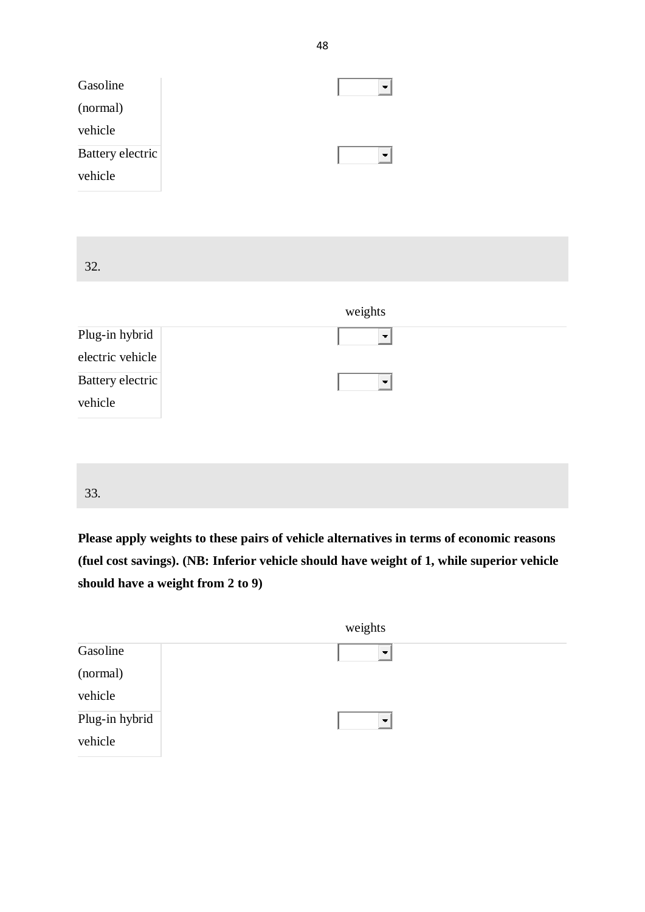| Gasoline<br>(normal)        |                          |
|-----------------------------|--------------------------|
| vehicle                     |                          |
| Battery electric<br>vehicle | $ \bullet $              |
|                             |                          |
|                             |                          |
| 32.                         |                          |
|                             |                          |
|                             |                          |
|                             | weights                  |
| Plug-in hybrid              | $\overline{\phantom{a}}$ |
| electric vehicle            |                          |
| Battery electric            | $\vert \cdot \vert$      |
| vehicle                     |                          |
|                             |                          |
|                             |                          |

**Please apply weights to these pairs of vehicle alternatives in terms of economic reasons (fuel cost savings). (NB: Inferior vehicle should have weight of 1, while superior vehicle should have a weight from 2 to 9)**

|                | weights                  |
|----------------|--------------------------|
| Gasoline       | $\overline{\phantom{a}}$ |
| (normal)       |                          |
| vehicle        |                          |
| Plug-in hybrid | $\overline{\phantom{a}}$ |
| vehicle        |                          |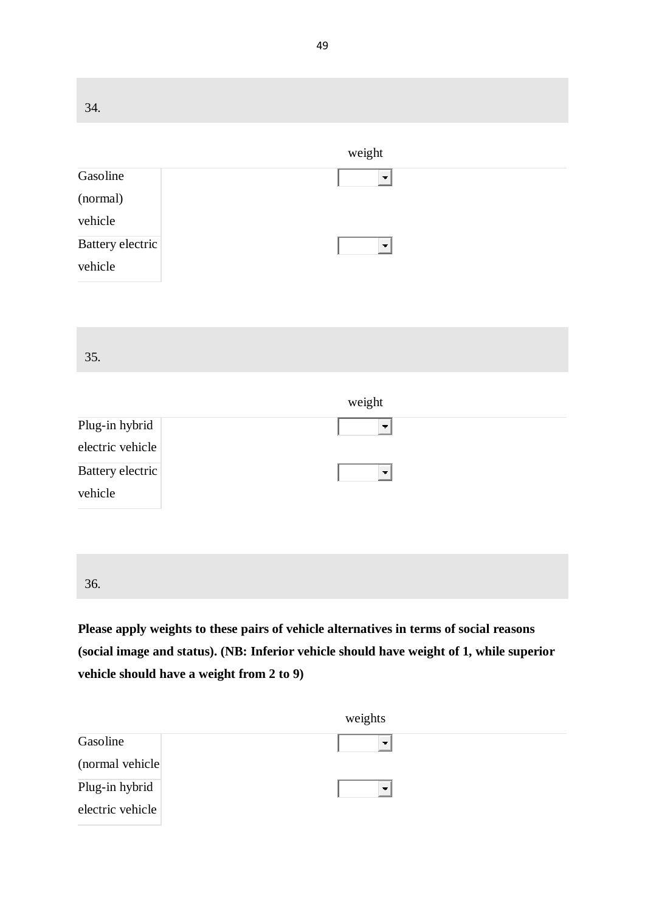34. weight Gasoline  $\left| \cdot \right|$ (normal) vehicle Battery electric  $\overline{\mathbf{F}}$ vehicle 35. weight Plug-in hybrid  $\vert \cdot \vert$ electric vehicle Battery electric  $\overline{\mathbf{F}}$ vehicle 36.

**Please apply weights to these pairs of vehicle alternatives in terms of social reasons (social image and status). (NB: Inferior vehicle should have weight of 1, while superior vehicle should have a weight from 2 to 9)**

|                  | weights        |
|------------------|----------------|
| Gasoline         | $\blacksquare$ |
| (normal vehicle) |                |
| Plug-in hybrid   | $\rightarrow$  |
| electric vehicle |                |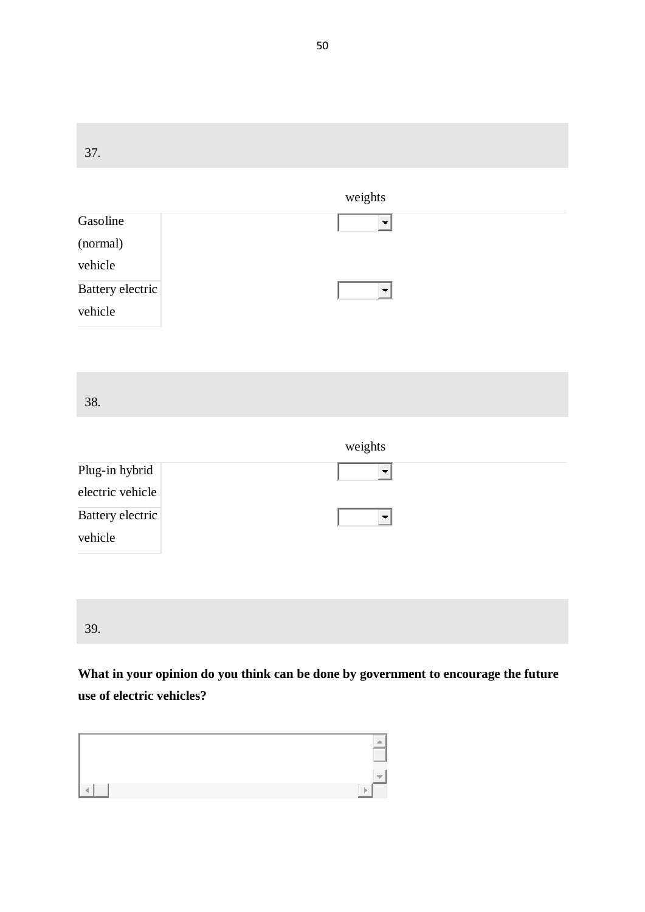37. weights Gasoline  $\Box$ (normal) vehicle Battery electric  $\overline{\mathbf{F}}$ vehicle 38. weights Plug-in hybrid  $\vert$ electric vehicle Battery electric  $\vert \cdot \vert$ vehicle 39.

**What in your opinion do you think can be done by government to encourage the future use of electric vehicles?**

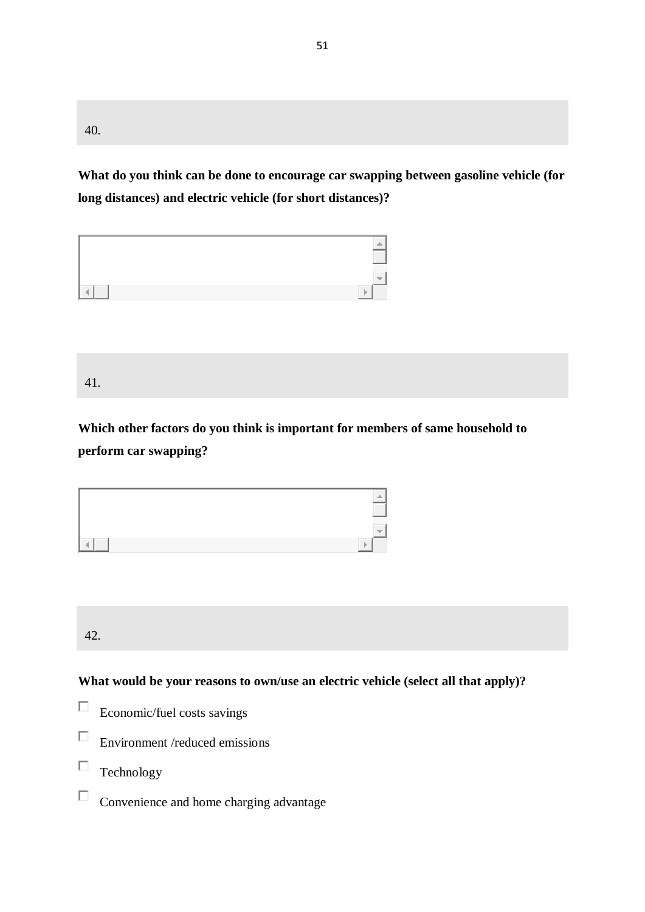40.

**What do you think can be done to encourage car swapping between gasoline vehicle (for long distances) and electric vehicle (for short distances)?**

| ------------------ |  |
|--------------------|--|
| _________<br>P     |  |

41.

**Which other factors do you think is important for members of same household to perform car swapping?**



42.

**What would be your reasons to own/use an electric vehicle (select all that apply)?**

- $\Box$ Economic/fuel costs savings
- $\Box$ Environment /reduced emissions
- П Technology
- $\Box$ Convenience and home charging advantage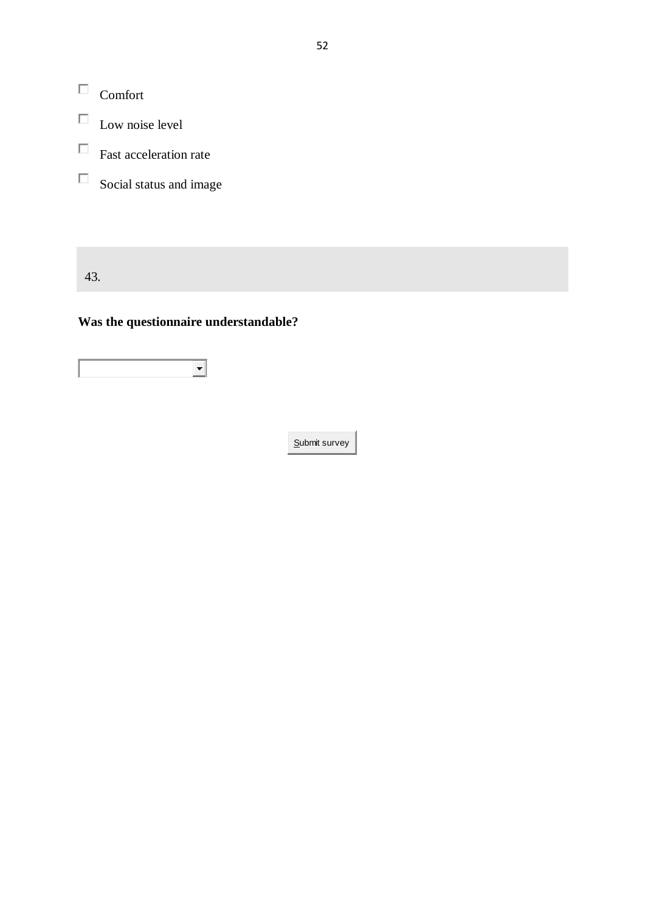$\Box$  Comfort

- $\hfill\Box$  Low noise level
- $\Box$  Fast acceleration rate
- $\Box$  Social status and image

43.

## **Was the questionnaire understandable?**

 $\overline{\phantom{0}}$ 

Submit survey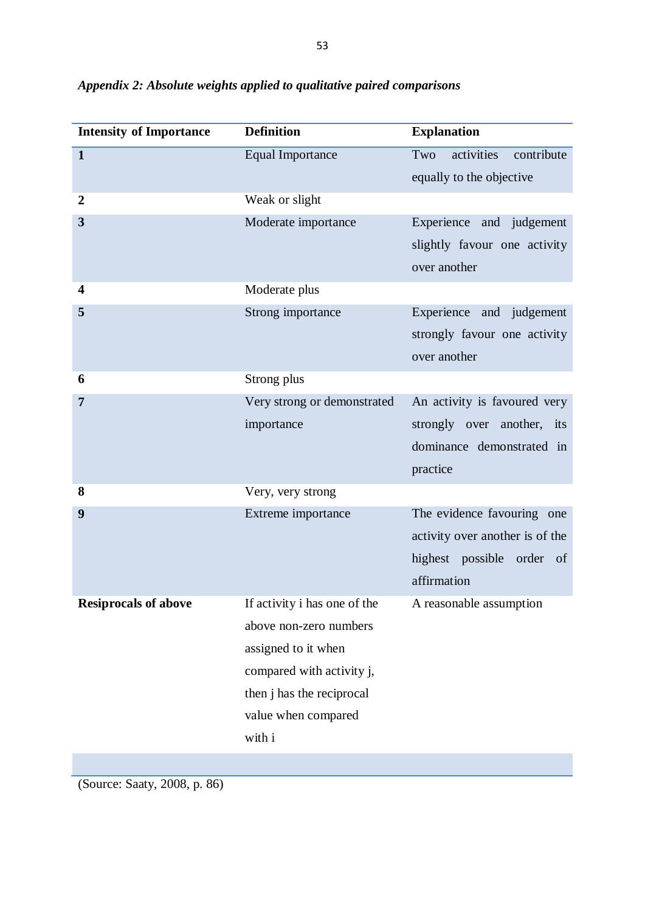| <b>Intensity of Importance</b> | <b>Definition</b>            | <b>Explanation</b>              |  |  |
|--------------------------------|------------------------------|---------------------------------|--|--|
| $\mathbf{1}$                   | <b>Equal Importance</b>      | activities<br>Two<br>contribute |  |  |
|                                |                              | equally to the objective        |  |  |
| $\boldsymbol{2}$               | Weak or slight               |                                 |  |  |
| 3                              | Moderate importance          | Experience and judgement        |  |  |
|                                |                              | slightly favour one activity    |  |  |
|                                |                              | over another                    |  |  |
| $\overline{\mathbf{4}}$        | Moderate plus                |                                 |  |  |
| 5                              | Strong importance            | Experience and judgement        |  |  |
|                                |                              | strongly favour one activity    |  |  |
|                                |                              | over another                    |  |  |
| 6                              | Strong plus                  |                                 |  |  |
| 7                              | Very strong or demonstrated  | An activity is favoured very    |  |  |
|                                | importance                   | strongly over another, its      |  |  |
|                                |                              | dominance demonstrated in       |  |  |
|                                |                              | practice                        |  |  |
| 8                              | Very, very strong            |                                 |  |  |
| 9                              | Extreme importance           | The evidence favouring one      |  |  |
|                                |                              | activity over another is of the |  |  |
|                                |                              | highest possible order of       |  |  |
|                                |                              | affirmation                     |  |  |
| <b>Resiprocals of above</b>    | If activity i has one of the | A reasonable assumption         |  |  |
|                                | above non-zero numbers       |                                 |  |  |
|                                | assigned to it when          |                                 |  |  |
|                                | compared with activity j,    |                                 |  |  |
|                                | then j has the reciprocal    |                                 |  |  |
|                                | value when compared          |                                 |  |  |
|                                | with i                       |                                 |  |  |

(Source: Saaty, 2008, p. 86)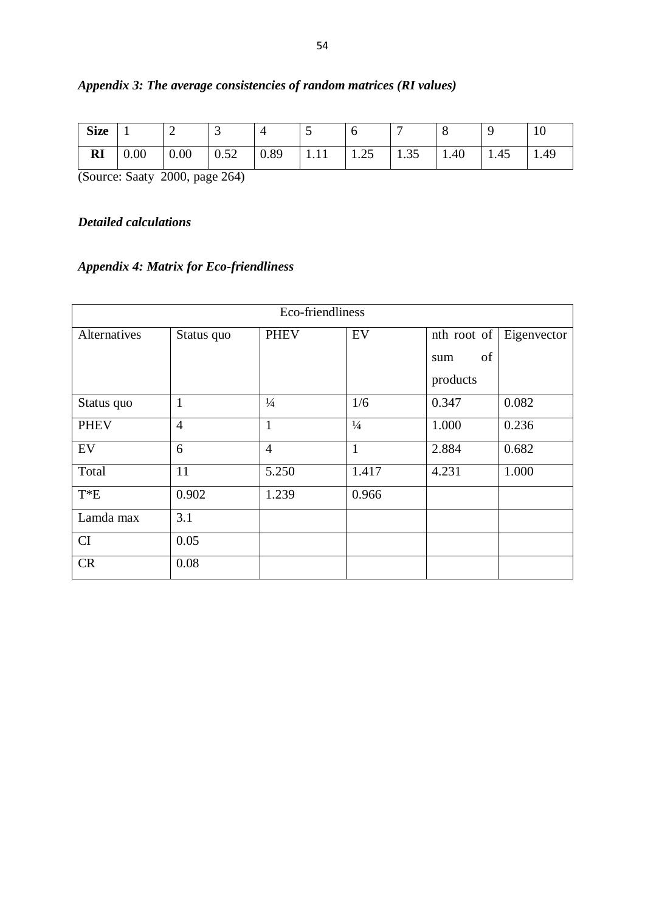| <b>Size</b>                    | л.   | ∽    | ັ                  |      |             | ິ                     | -          | ັ    |      | $\Omega$<br>1 U |
|--------------------------------|------|------|--------------------|------|-------------|-----------------------|------------|------|------|-----------------|
| $\mathbf{D}^{\intercal}$<br>ИI | 0.00 | 0.00 | $\epsilon$<br>0.52 | 0.89 | <b>TITT</b> | $\sim$ $\sim$<br>1.4J | 25<br>1.53 | 1.40 | 1.45 | 1.49            |

## *Appendix 3: The average consistencies of random matrices (RI values)*

(Source: Saaty 2000, page 264)

## *Detailed calculations*

## *Appendix 4: Matrix for Eco-friendliness*

| Eco-friendliness |                                                               |                |               |           |       |  |  |
|------------------|---------------------------------------------------------------|----------------|---------------|-----------|-------|--|--|
| Alternatives     | EV<br><b>PHEV</b><br>Eigenvector<br>nth root of<br>Status quo |                |               |           |       |  |  |
|                  |                                                               |                |               | of<br>sum |       |  |  |
|                  |                                                               |                |               | products  |       |  |  |
| Status quo       | $\mathbf{1}$                                                  | $\frac{1}{4}$  | 1/6           | 0.347     | 0.082 |  |  |
| <b>PHEV</b>      | $\overline{4}$                                                | $\mathbf{1}$   | $\frac{1}{4}$ | 1.000     | 0.236 |  |  |
| EV               | 6                                                             | $\overline{4}$ | $\mathbf{1}$  | 2.884     | 0.682 |  |  |
| Total            | 11                                                            | 5.250          | 1.417         | 4.231     | 1.000 |  |  |
| $T^*E$           | 0.902                                                         | 1.239          | 0.966         |           |       |  |  |
| Lamda max        | 3.1                                                           |                |               |           |       |  |  |
| CI               | 0.05                                                          |                |               |           |       |  |  |
| CR               | 0.08                                                          |                |               |           |       |  |  |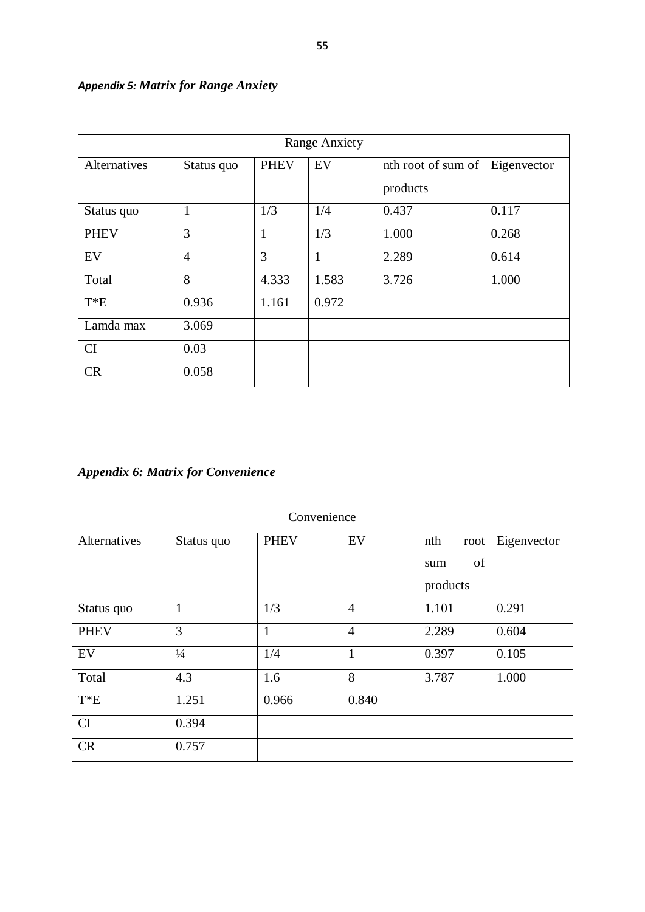| <b>Range Anxiety</b> |                |             |              |                    |             |  |  |
|----------------------|----------------|-------------|--------------|--------------------|-------------|--|--|
| <b>Alternatives</b>  | Status quo     | <b>PHEV</b> | EV           | nth root of sum of | Eigenvector |  |  |
|                      |                |             |              | products           |             |  |  |
| Status quo           | 1              | 1/3         | 1/4          | 0.437              | 0.117       |  |  |
| <b>PHEV</b>          | 3              | 1           | 1/3          | 1.000              | 0.268       |  |  |
| EV                   | $\overline{4}$ | 3           | $\mathbf{1}$ | 2.289              | 0.614       |  |  |
| Total                | 8              | 4.333       | 1.583        | 3.726              | 1.000       |  |  |
| $T^*E$               | 0.936          | 1.161       | 0.972        |                    |             |  |  |
| Lamda max            | 3.069          |             |              |                    |             |  |  |
| <b>CI</b>            | 0.03           |             |              |                    |             |  |  |
| CR                   | 0.058          |             |              |                    |             |  |  |

## *Appendix 5: Matrix for Range Anxiety*

*Appendix 6: Matrix for Convenience*

| Convenience  |                |             |                |             |             |  |
|--------------|----------------|-------------|----------------|-------------|-------------|--|
| Alternatives | Status quo     | <b>PHEV</b> | EV             | nth<br>root | Eigenvector |  |
|              |                |             |                | of<br>sum   |             |  |
|              |                |             |                | products    |             |  |
| Status quo   | $\mathbf{1}$   | 1/3         | $\overline{4}$ | 1.101       | 0.291       |  |
| <b>PHEV</b>  | $\overline{3}$ | 1           | $\overline{4}$ | 2.289       | 0.604       |  |
| EV           | $\frac{1}{4}$  | 1/4         | $\mathbf{1}$   | 0.397       | 0.105       |  |
| Total        | 4.3            | 1.6         | 8              | 3.787       | 1.000       |  |
| $T^*E$       | 1.251          | 0.966       | 0.840          |             |             |  |
| CI           | 0.394          |             |                |             |             |  |
| <b>CR</b>    | 0.757          |             |                |             |             |  |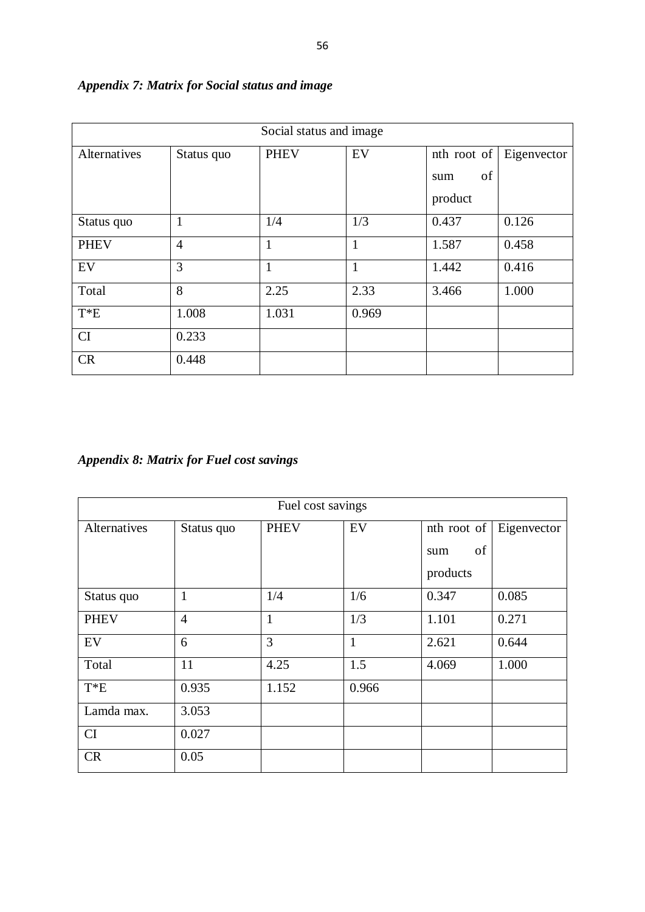| Social status and image |                |             |              |                                       |             |  |  |
|-------------------------|----------------|-------------|--------------|---------------------------------------|-------------|--|--|
| Alternatives            | Status quo     | <b>PHEV</b> | EV           | $nth$ root of<br>of<br>sum<br>product | Eigenvector |  |  |
| Status quo              |                | 1/4         | 1/3          | 0.437                                 | 0.126       |  |  |
| <b>PHEV</b>             | $\overline{4}$ | 1           | 1            | 1.587                                 | 0.458       |  |  |
| EV                      | 3              | 1           | $\mathbf{1}$ | 1.442                                 | 0.416       |  |  |
| Total                   | 8              | 2.25        | 2.33         | 3.466                                 | 1.000       |  |  |
| $T^*E$                  | 1.008          | 1.031       | 0.969        |                                       |             |  |  |
| CI                      | 0.233          |             |              |                                       |             |  |  |
| CR                      | 0.448          |             |              |                                       |             |  |  |

## *Appendix 7: Matrix for Social status and image*

## *Appendix 8: Matrix for Fuel cost savings*

| Fuel cost savings |                |             |              |             |             |  |  |
|-------------------|----------------|-------------|--------------|-------------|-------------|--|--|
| Alternatives      | Status quo     | <b>PHEV</b> | EV           | nth root of | Eigenvector |  |  |
|                   |                |             |              | of<br>sum   |             |  |  |
|                   |                |             |              | products    |             |  |  |
| Status quo        | $\mathbf{1}$   | 1/4         | 1/6          | 0.347       | 0.085       |  |  |
| <b>PHEV</b>       | $\overline{4}$ | 1           | 1/3          | 1.101       | 0.271       |  |  |
| EV                | 6              | 3           | $\mathbf{1}$ | 2.621       | 0.644       |  |  |
| Total             | 11             | 4.25        | 1.5          | 4.069       | 1.000       |  |  |
| $T^*E$            | 0.935          | 1.152       | 0.966        |             |             |  |  |
| Lamda max.        | 3.053          |             |              |             |             |  |  |
| <b>CI</b>         | 0.027          |             |              |             |             |  |  |
| <b>CR</b>         | 0.05           |             |              |             |             |  |  |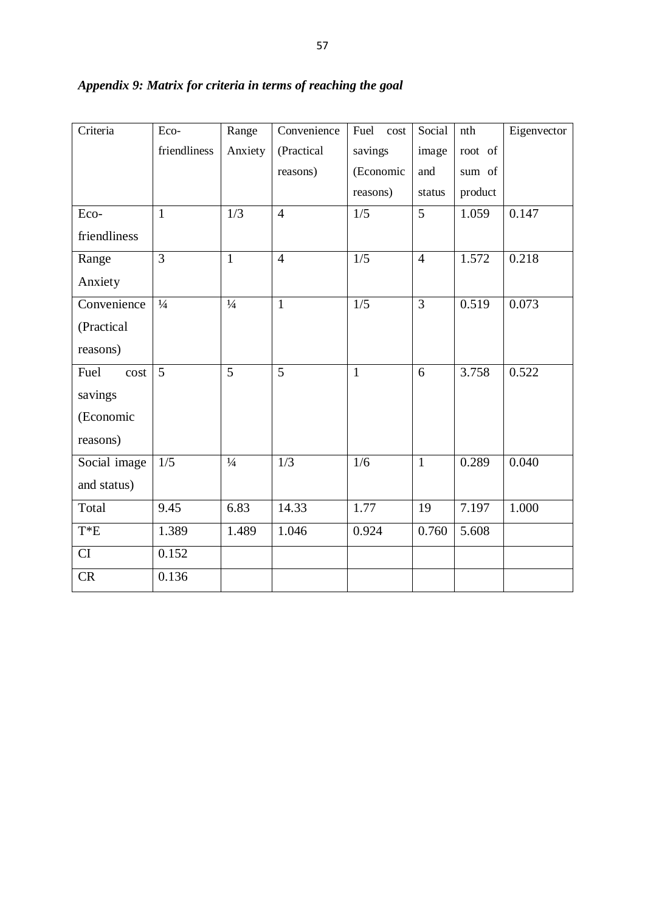| Criteria     | Eco-           | Range         | Convenience    | Fuel<br>cost | Social         | nth     | Eigenvector |
|--------------|----------------|---------------|----------------|--------------|----------------|---------|-------------|
|              | friendliness   | Anxiety       | (Practical     | savings      | image          | root of |             |
|              |                |               | reasons)       | (Economic    | and            | sum of  |             |
|              |                |               |                | reasons)     | status         | product |             |
| Eco-         | $\mathbf{1}$   | 1/3           | $\overline{4}$ | 1/5          | $\overline{5}$ | 1.059   | 0.147       |
| friendliness |                |               |                |              |                |         |             |
| Range        | $\overline{3}$ | $\mathbf{1}$  | $\overline{4}$ | 1/5          | $\overline{4}$ | 1.572   | 0.218       |
| Anxiety      |                |               |                |              |                |         |             |
| Convenience  | $\frac{1}{4}$  | $\frac{1}{4}$ | $\mathbf{1}$   | 1/5          | $\overline{3}$ | 0.519   | 0.073       |
| (Practical   |                |               |                |              |                |         |             |
| reasons)     |                |               |                |              |                |         |             |
| Fuel<br>cost | 5              | 5             | 5              | $\mathbf{1}$ | 6              | 3.758   | 0.522       |
| savings      |                |               |                |              |                |         |             |
| (Economic    |                |               |                |              |                |         |             |
| reasons)     |                |               |                |              |                |         |             |
| Social image | 1/5            | $\frac{1}{4}$ | 1/3            | 1/6          | $\mathbf{1}$   | 0.289   | 0.040       |
| and status)  |                |               |                |              |                |         |             |
| Total        | 9.45           | 6.83          | 14.33          | 1.77         | 19             | 7.197   | 1.000       |
| $T^*E$       | 1.389          | 1.489         | 1.046          | 0.924        | 0.760          | 5.608   |             |
| CI           | 0.152          |               |                |              |                |         |             |
| CR           | 0.136          |               |                |              |                |         |             |

## *Appendix 9: Matrix for criteria in terms of reaching the goal*